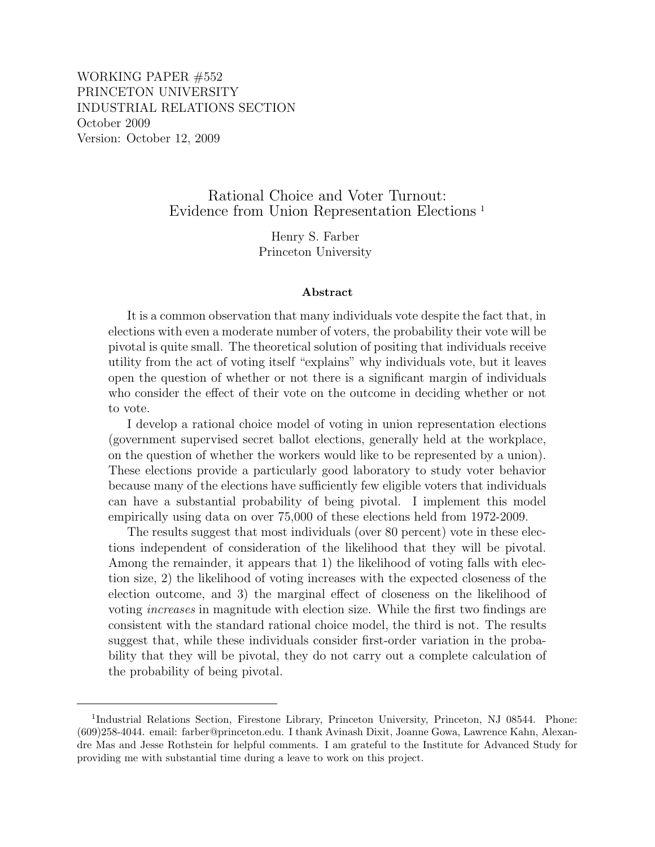WORKING PAPER #552 PRINCETON UNIVERSITY INDUSTRIAL RELATIONS SECTION October 2009 Version: October 12, 2009

> Rational Choice and Voter Turnout: Evidence from Union Representation Elections <sup>1</sup>

> > Henry S. Farber Princeton University

#### Abstract

It is a common observation that many individuals vote despite the fact that, in elections with even a moderate number of voters, the probability their vote will be pivotal is quite small. The theoretical solution of positing that individuals receive utility from the act of voting itself "explains" why individuals vote, but it leaves open the question of whether or not there is a significant margin of individuals who consider the effect of their vote on the outcome in deciding whether or not to vote.

I develop a rational choice model of voting in union representation elections (government supervised secret ballot elections, generally held at the workplace, on the question of whether the workers would like to be represented by a union). These elections provide a particularly good laboratory to study voter behavior because many of the elections have sufficiently few eligible voters that individuals can have a substantial probability of being pivotal. I implement this model empirically using data on over 75,000 of these elections held from 1972-2009.

The results suggest that most individuals (over 80 percent) vote in these elections independent of consideration of the likelihood that they will be pivotal. Among the remainder, it appears that 1) the likelihood of voting falls with election size, 2) the likelihood of voting increases with the expected closeness of the election outcome, and 3) the marginal effect of closeness on the likelihood of voting increases in magnitude with election size. While the first two findings are consistent with the standard rational choice model, the third is not. The results suggest that, while these individuals consider first-order variation in the probability that they will be pivotal, they do not carry out a complete calculation of the probability of being pivotal.

<sup>&</sup>lt;sup>1</sup>Industrial Relations Section, Firestone Library, Princeton University, Princeton, NJ 08544. Phone: (609)258-4044. email: farber@princeton.edu. I thank Avinash Dixit, Joanne Gowa, Lawrence Kahn, Alexandre Mas and Jesse Rothstein for helpful comments. I am grateful to the Institute for Advanced Study for providing me with substantial time during a leave to work on this project.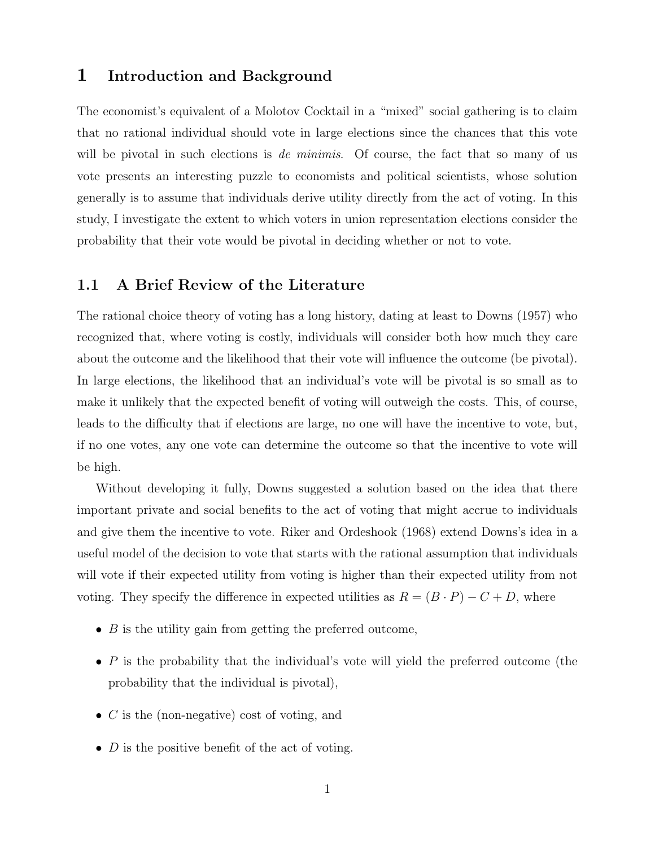## 1 Introduction and Background

The economist's equivalent of a Molotov Cocktail in a "mixed" social gathering is to claim that no rational individual should vote in large elections since the chances that this vote will be pivotal in such elections is *de minimis*. Of course, the fact that so many of us vote presents an interesting puzzle to economists and political scientists, whose solution generally is to assume that individuals derive utility directly from the act of voting. In this study, I investigate the extent to which voters in union representation elections consider the probability that their vote would be pivotal in deciding whether or not to vote.

#### 1.1 A Brief Review of the Literature

The rational choice theory of voting has a long history, dating at least to Downs (1957) who recognized that, where voting is costly, individuals will consider both how much they care about the outcome and the likelihood that their vote will influence the outcome (be pivotal). In large elections, the likelihood that an individual's vote will be pivotal is so small as to make it unlikely that the expected benefit of voting will outweigh the costs. This, of course, leads to the difficulty that if elections are large, no one will have the incentive to vote, but, if no one votes, any one vote can determine the outcome so that the incentive to vote will be high.

Without developing it fully, Downs suggested a solution based on the idea that there important private and social benefits to the act of voting that might accrue to individuals and give them the incentive to vote. Riker and Ordeshook (1968) extend Downs's idea in a useful model of the decision to vote that starts with the rational assumption that individuals will vote if their expected utility from voting is higher than their expected utility from not voting. They specify the difference in expected utilities as  $R = (B \cdot P) - C + D$ , where

- $\bullet$  B is the utility gain from getting the preferred outcome,
- $\bullet$  P is the probability that the individual's vote will yield the preferred outcome (the probability that the individual is pivotal),
- $C$  is the (non-negative) cost of voting, and
- $D$  is the positive benefit of the act of voting.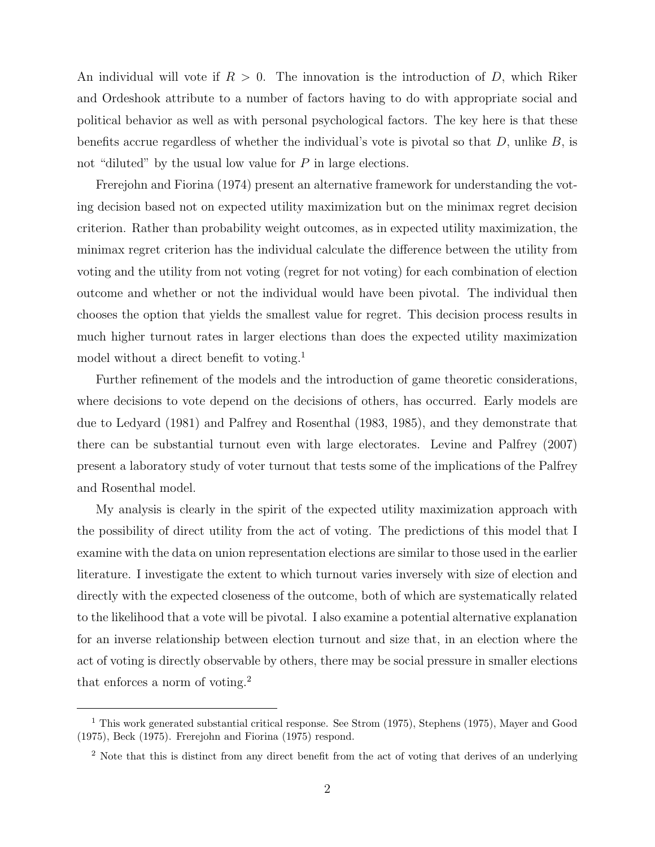An individual will vote if  $R > 0$ . The innovation is the introduction of D, which Riker and Ordeshook attribute to a number of factors having to do with appropriate social and political behavior as well as with personal psychological factors. The key here is that these benefits accrue regardless of whether the individual's vote is pivotal so that  $D$ , unlike  $B$ , is not "diluted" by the usual low value for  $P$  in large elections.

Frerejohn and Fiorina (1974) present an alternative framework for understanding the voting decision based not on expected utility maximization but on the minimax regret decision criterion. Rather than probability weight outcomes, as in expected utility maximization, the minimax regret criterion has the individual calculate the difference between the utility from voting and the utility from not voting (regret for not voting) for each combination of election outcome and whether or not the individual would have been pivotal. The individual then chooses the option that yields the smallest value for regret. This decision process results in much higher turnout rates in larger elections than does the expected utility maximization model without a direct benefit to voting.<sup>1</sup>

Further refinement of the models and the introduction of game theoretic considerations, where decisions to vote depend on the decisions of others, has occurred. Early models are due to Ledyard (1981) and Palfrey and Rosenthal (1983, 1985), and they demonstrate that there can be substantial turnout even with large electorates. Levine and Palfrey (2007) present a laboratory study of voter turnout that tests some of the implications of the Palfrey and Rosenthal model.

My analysis is clearly in the spirit of the expected utility maximization approach with the possibility of direct utility from the act of voting. The predictions of this model that I examine with the data on union representation elections are similar to those used in the earlier literature. I investigate the extent to which turnout varies inversely with size of election and directly with the expected closeness of the outcome, both of which are systematically related to the likelihood that a vote will be pivotal. I also examine a potential alternative explanation for an inverse relationship between election turnout and size that, in an election where the act of voting is directly observable by others, there may be social pressure in smaller elections that enforces a norm of voting.<sup>2</sup>

<sup>&</sup>lt;sup>1</sup> This work generated substantial critical response. See Strom (1975), Stephens (1975), Mayer and Good (1975), Beck (1975). Frerejohn and Fiorina (1975) respond.

<sup>&</sup>lt;sup>2</sup> Note that this is distinct from any direct benefit from the act of voting that derives of an underlying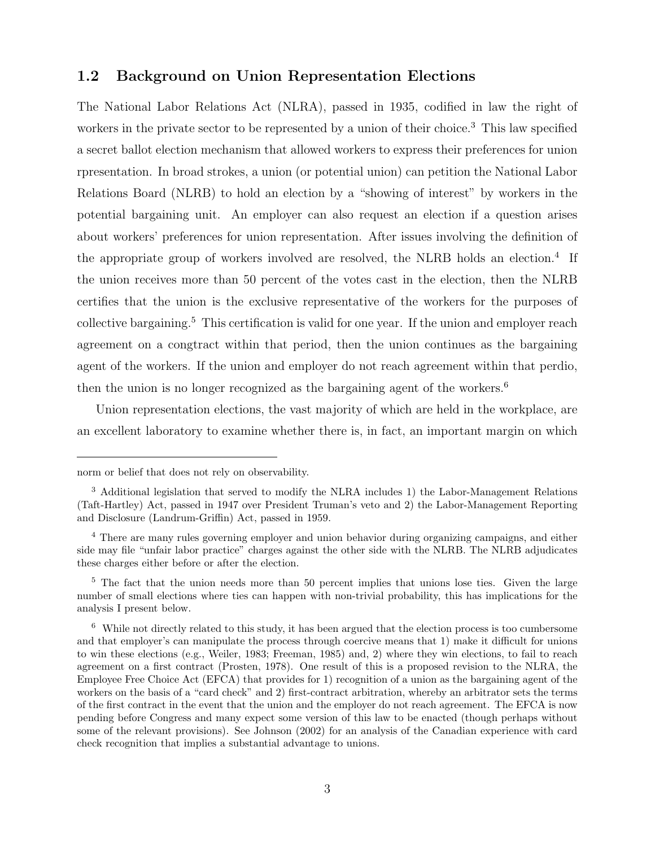### 1.2 Background on Union Representation Elections

The National Labor Relations Act (NLRA), passed in 1935, codified in law the right of workers in the private sector to be represented by a union of their choice.<sup>3</sup> This law specified a secret ballot election mechanism that allowed workers to express their preferences for union rpresentation. In broad strokes, a union (or potential union) can petition the National Labor Relations Board (NLRB) to hold an election by a "showing of interest" by workers in the potential bargaining unit. An employer can also request an election if a question arises about workers' preferences for union representation. After issues involving the definition of the appropriate group of workers involved are resolved, the NLRB holds an election.<sup>4</sup> If the union receives more than 50 percent of the votes cast in the election, then the NLRB certifies that the union is the exclusive representative of the workers for the purposes of collective bargaining.<sup>5</sup> This certification is valid for one year. If the union and employer reach agreement on a congtract within that period, then the union continues as the bargaining agent of the workers. If the union and employer do not reach agreement within that perdio, then the union is no longer recognized as the bargaining agent of the workers.<sup>6</sup>

Union representation elections, the vast majority of which are held in the workplace, are an excellent laboratory to examine whether there is, in fact, an important margin on which

norm or belief that does not rely on observability.

<sup>&</sup>lt;sup>3</sup> Additional legislation that served to modify the NLRA includes 1) the Labor-Management Relations (Taft-Hartley) Act, passed in 1947 over President Truman's veto and 2) the Labor-Management Reporting and Disclosure (Landrum-Griffin) Act, passed in 1959.

<sup>4</sup> There are many rules governing employer and union behavior during organizing campaigns, and either side may file "unfair labor practice" charges against the other side with the NLRB. The NLRB adjudicates these charges either before or after the election.

<sup>&</sup>lt;sup>5</sup> The fact that the union needs more than 50 percent implies that unions lose ties. Given the large number of small elections where ties can happen with non-trivial probability, this has implications for the analysis I present below.

 $6$  While not directly related to this study, it has been argued that the election process is too cumbersome and that employer's can manipulate the process through coercive means that 1) make it difficult for unions to win these elections (e.g., Weiler, 1983; Freeman, 1985) and, 2) where they win elections, to fail to reach agreement on a first contract (Prosten, 1978). One result of this is a proposed revision to the NLRA, the Employee Free Choice Act (EFCA) that provides for 1) recognition of a union as the bargaining agent of the workers on the basis of a "card check" and 2) first-contract arbitration, whereby an arbitrator sets the terms of the first contract in the event that the union and the employer do not reach agreement. The EFCA is now pending before Congress and many expect some version of this law to be enacted (though perhaps without some of the relevant provisions). See Johnson (2002) for an analysis of the Canadian experience with card check recognition that implies a substantial advantage to unions.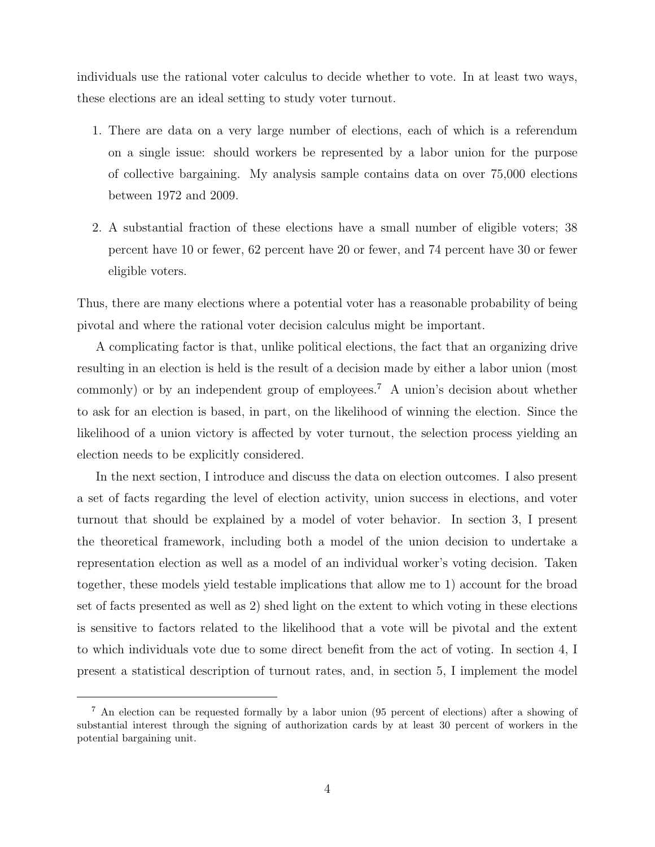individuals use the rational voter calculus to decide whether to vote. In at least two ways, these elections are an ideal setting to study voter turnout.

- 1. There are data on a very large number of elections, each of which is a referendum on a single issue: should workers be represented by a labor union for the purpose of collective bargaining. My analysis sample contains data on over 75,000 elections between 1972 and 2009.
- 2. A substantial fraction of these elections have a small number of eligible voters; 38 percent have 10 or fewer, 62 percent have 20 or fewer, and 74 percent have 30 or fewer eligible voters.

Thus, there are many elections where a potential voter has a reasonable probability of being pivotal and where the rational voter decision calculus might be important.

A complicating factor is that, unlike political elections, the fact that an organizing drive resulting in an election is held is the result of a decision made by either a labor union (most commonly) or by an independent group of employees.<sup>7</sup> A union's decision about whether to ask for an election is based, in part, on the likelihood of winning the election. Since the likelihood of a union victory is affected by voter turnout, the selection process yielding an election needs to be explicitly considered.

In the next section, I introduce and discuss the data on election outcomes. I also present a set of facts regarding the level of election activity, union success in elections, and voter turnout that should be explained by a model of voter behavior. In section 3, I present the theoretical framework, including both a model of the union decision to undertake a representation election as well as a model of an individual worker's voting decision. Taken together, these models yield testable implications that allow me to 1) account for the broad set of facts presented as well as 2) shed light on the extent to which voting in these elections is sensitive to factors related to the likelihood that a vote will be pivotal and the extent to which individuals vote due to some direct benefit from the act of voting. In section 4, I present a statistical description of turnout rates, and, in section 5, I implement the model

<sup>7</sup> An election can be requested formally by a labor union (95 percent of elections) after a showing of substantial interest through the signing of authorization cards by at least 30 percent of workers in the potential bargaining unit.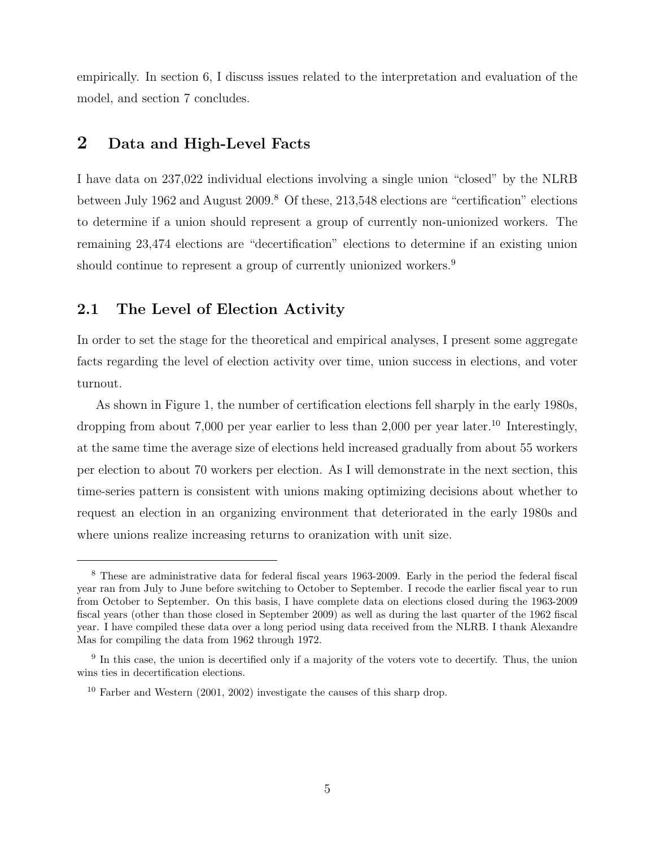empirically. In section 6, I discuss issues related to the interpretation and evaluation of the model, and section 7 concludes.

## 2 Data and High-Level Facts

I have data on 237,022 individual elections involving a single union "closed" by the NLRB between July 1962 and August 2009.<sup>8</sup> Of these, 213,548 elections are "certification" elections to determine if a union should represent a group of currently non-unionized workers. The remaining 23,474 elections are "decertification" elections to determine if an existing union should continue to represent a group of currently unionized workers.<sup>9</sup>

### 2.1 The Level of Election Activity

In order to set the stage for the theoretical and empirical analyses, I present some aggregate facts regarding the level of election activity over time, union success in elections, and voter turnout.

As shown in Figure 1, the number of certification elections fell sharply in the early 1980s, dropping from about 7,000 per year earlier to less than 2,000 per year later.<sup>10</sup> Interestingly, at the same time the average size of elections held increased gradually from about 55 workers per election to about 70 workers per election. As I will demonstrate in the next section, this time-series pattern is consistent with unions making optimizing decisions about whether to request an election in an organizing environment that deteriorated in the early 1980s and where unions realize increasing returns to oranization with unit size.

<sup>8</sup> These are administrative data for federal fiscal years 1963-2009. Early in the period the federal fiscal year ran from July to June before switching to October to September. I recode the earlier fiscal year to run from October to September. On this basis, I have complete data on elections closed during the 1963-2009 fiscal years (other than those closed in September 2009) as well as during the last quarter of the 1962 fiscal year. I have compiled these data over a long period using data received from the NLRB. I thank Alexandre Mas for compiling the data from 1962 through 1972.

<sup>&</sup>lt;sup>9</sup> In this case, the union is decertified only if a majority of the voters vote to decertify. Thus, the union wins ties in decertification elections.

<sup>&</sup>lt;sup>10</sup> Farber and Western  $(2001, 2002)$  investigate the causes of this sharp drop.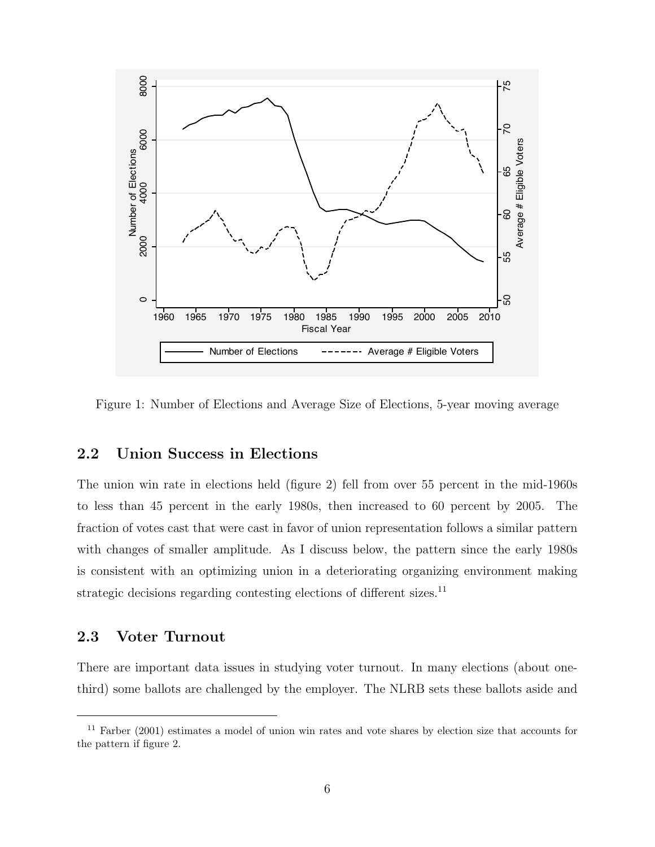

Figure 1: Number of Elections and Average Size of Elections, 5-year moving average

### 2.2 Union Success in Elections

The union win rate in elections held (figure 2) fell from over 55 percent in the mid-1960s to less than 45 percent in the early 1980s, then increased to 60 percent by 2005. The fraction of votes cast that were cast in favor of union representation follows a similar pattern with changes of smaller amplitude. As I discuss below, the pattern since the early 1980s is consistent with an optimizing union in a deteriorating organizing environment making strategic decisions regarding contesting elections of different sizes.<sup>11</sup>

## 2.3 Voter Turnout

There are important data issues in studying voter turnout. In many elections (about onethird) some ballots are challenged by the employer. The NLRB sets these ballots aside and

<sup>11</sup> Farber (2001) estimates a model of union win rates and vote shares by election size that accounts for the pattern if figure 2.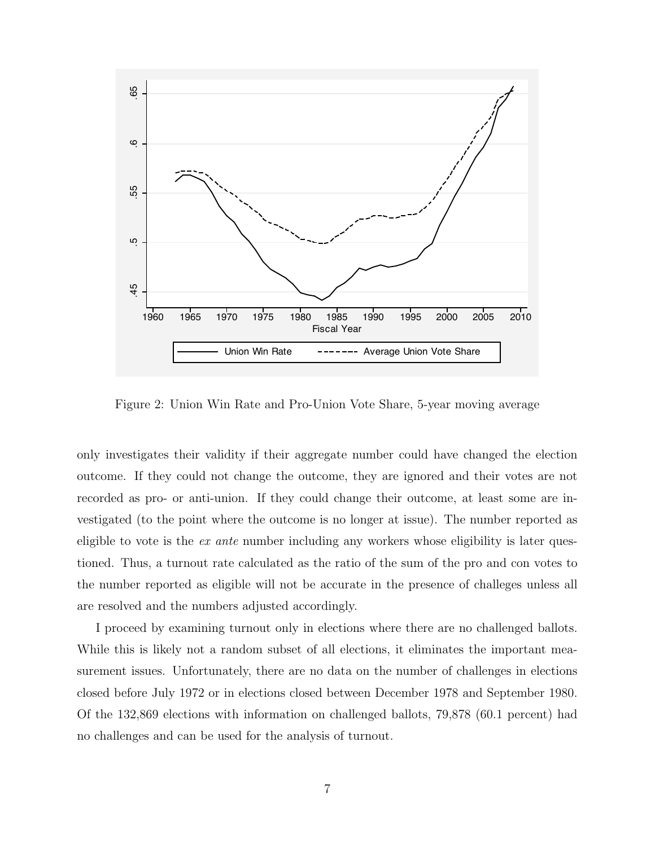

Figure 2: Union Win Rate and Pro-Union Vote Share, 5-year moving average

only investigates their validity if their aggregate number could have changed the election outcome. If they could not change the outcome, they are ignored and their votes are not recorded as pro- or anti-union. If they could change their outcome, at least some are investigated (to the point where the outcome is no longer at issue). The number reported as eligible to vote is the  $ex$  ante number including any workers whose eligibility is later questioned. Thus, a turnout rate calculated as the ratio of the sum of the pro and con votes to the number reported as eligible will not be accurate in the presence of challeges unless all are resolved and the numbers adjusted accordingly.

I proceed by examining turnout only in elections where there are no challenged ballots. While this is likely not a random subset of all elections, it eliminates the important measurement issues. Unfortunately, there are no data on the number of challenges in elections closed before July 1972 or in elections closed between December 1978 and September 1980. Of the 132,869 elections with information on challenged ballots, 79,878 (60.1 percent) had no challenges and can be used for the analysis of turnout.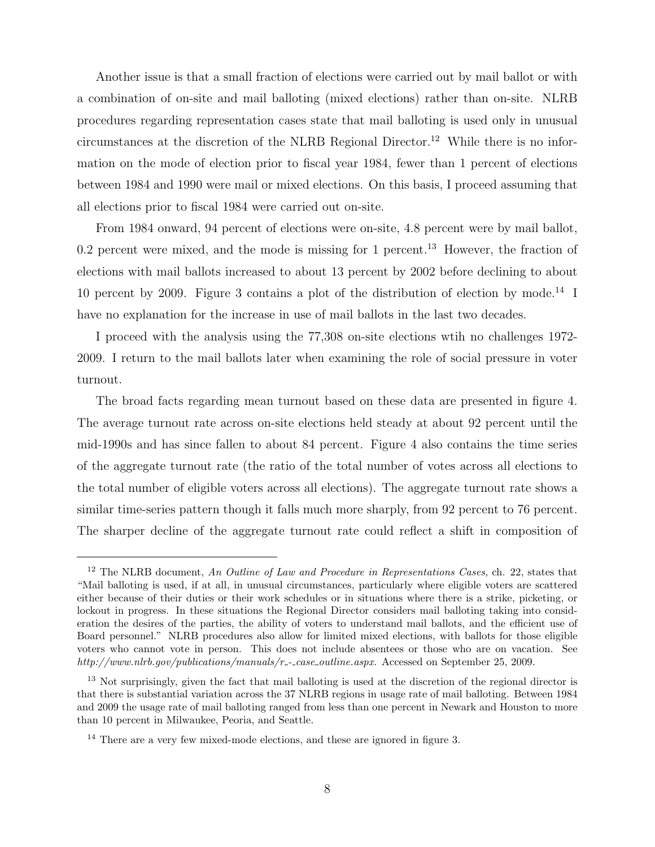Another issue is that a small fraction of elections were carried out by mail ballot or with a combination of on-site and mail balloting (mixed elections) rather than on-site. NLRB procedures regarding representation cases state that mail balloting is used only in unusual circumstances at the discretion of the NLRB Regional Director.<sup>12</sup> While there is no information on the mode of election prior to fiscal year 1984, fewer than 1 percent of elections between 1984 and 1990 were mail or mixed elections. On this basis, I proceed assuming that all elections prior to fiscal 1984 were carried out on-site.

From 1984 onward, 94 percent of elections were on-site, 4.8 percent were by mail ballot, 0.2 percent were mixed, and the mode is missing for 1 percent.<sup>13</sup> However, the fraction of elections with mail ballots increased to about 13 percent by 2002 before declining to about 10 percent by 2009. Figure 3 contains a plot of the distribution of election by mode.<sup>14</sup> I have no explanation for the increase in use of mail ballots in the last two decades.

I proceed with the analysis using the 77,308 on-site elections wtih no challenges 1972- 2009. I return to the mail ballots later when examining the role of social pressure in voter turnout.

The broad facts regarding mean turnout based on these data are presented in figure 4. The average turnout rate across on-site elections held steady at about 92 percent until the mid-1990s and has since fallen to about 84 percent. Figure 4 also contains the time series of the aggregate turnout rate (the ratio of the total number of votes across all elections to the total number of eligible voters across all elections). The aggregate turnout rate shows a similar time-series pattern though it falls much more sharply, from 92 percent to 76 percent. The sharper decline of the aggregate turnout rate could reflect a shift in composition of

 $12$  The NLRB document, An Outline of Law and Procedure in Representations Cases, ch. 22, states that "Mail balloting is used, if at all, in unusual circumstances, particularly where eligible voters are scattered either because of their duties or their work schedules or in situations where there is a strike, picketing, or lockout in progress. In these situations the Regional Director considers mail balloting taking into consideration the desires of the parties, the ability of voters to understand mail ballots, and the efficient use of Board personnel." NLRB procedures also allow for limited mixed elections, with ballots for those eligible voters who cannot vote in person. This does not include absentees or those who are on vacation. See http://www.nlrb.gov/publications/manuals/r\_-\_case\_outline.aspx. Accessed on September 25, 2009.

<sup>&</sup>lt;sup>13</sup> Not surprisingly, given the fact that mail balloting is used at the discretion of the regional director is that there is substantial variation across the 37 NLRB regions in usage rate of mail balloting. Between 1984 and 2009 the usage rate of mail balloting ranged from less than one percent in Newark and Houston to more than 10 percent in Milwaukee, Peoria, and Seattle.

<sup>&</sup>lt;sup>14</sup> There are a very few mixed-mode elections, and these are ignored in figure 3.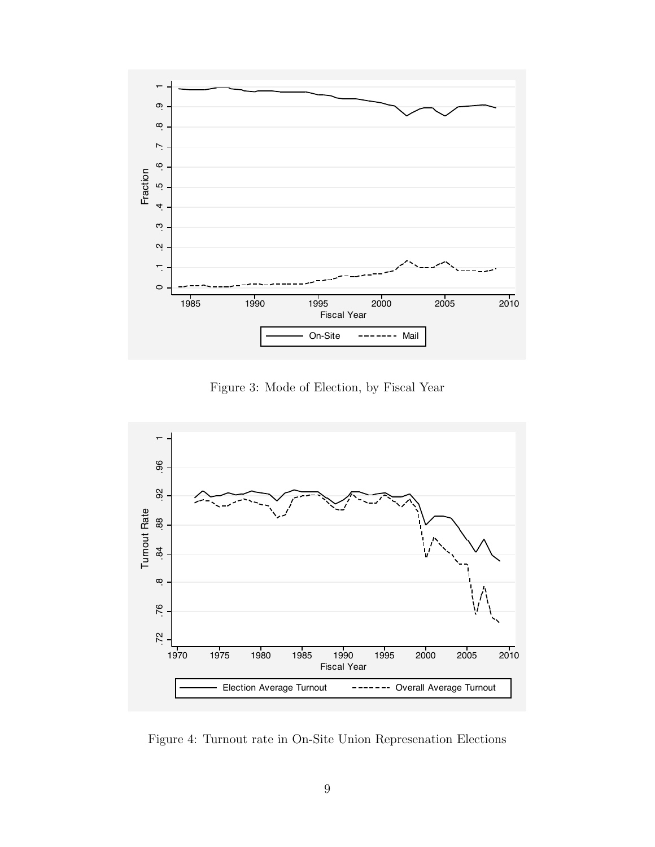

Figure 3: Mode of Election, by Fiscal Year



Figure 4: Turnout rate in On-Site Union Represenation Elections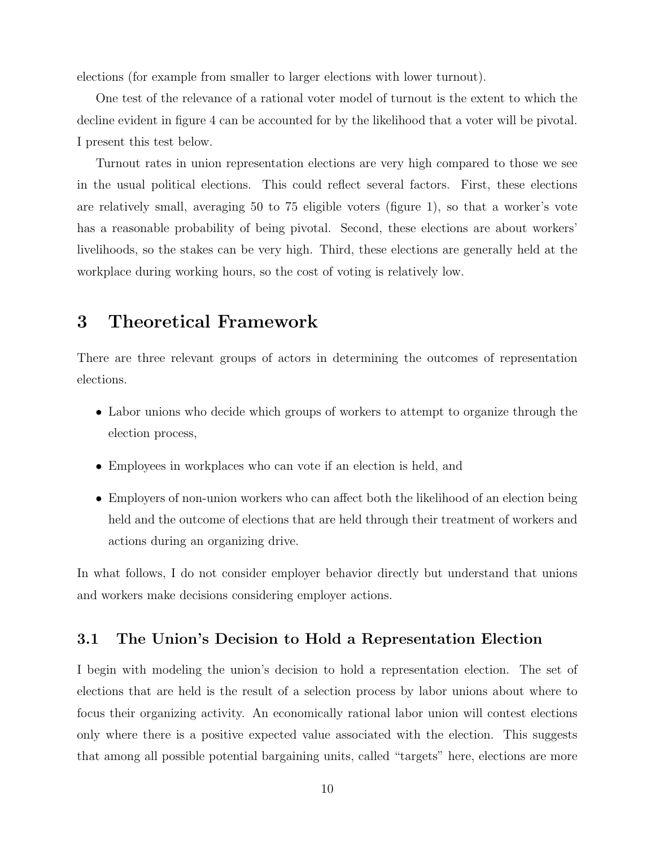elections (for example from smaller to larger elections with lower turnout).

One test of the relevance of a rational voter model of turnout is the extent to which the decline evident in figure 4 can be accounted for by the likelihood that a voter will be pivotal. I present this test below.

Turnout rates in union representation elections are very high compared to those we see in the usual political elections. This could reflect several factors. First, these elections are relatively small, averaging 50 to 75 eligible voters (figure 1), so that a worker's vote has a reasonable probability of being pivotal. Second, these elections are about workers' livelihoods, so the stakes can be very high. Third, these elections are generally held at the workplace during working hours, so the cost of voting is relatively low.

# 3 Theoretical Framework

There are three relevant groups of actors in determining the outcomes of representation elections.

- Labor unions who decide which groups of workers to attempt to organize through the election process,
- Employees in workplaces who can vote if an election is held, and
- Employers of non-union workers who can affect both the likelihood of an election being held and the outcome of elections that are held through their treatment of workers and actions during an organizing drive.

In what follows, I do not consider employer behavior directly but understand that unions and workers make decisions considering employer actions.

#### 3.1 The Union's Decision to Hold a Representation Election

I begin with modeling the union's decision to hold a representation election. The set of elections that are held is the result of a selection process by labor unions about where to focus their organizing activity. An economically rational labor union will contest elections only where there is a positive expected value associated with the election. This suggests that among all possible potential bargaining units, called "targets" here, elections are more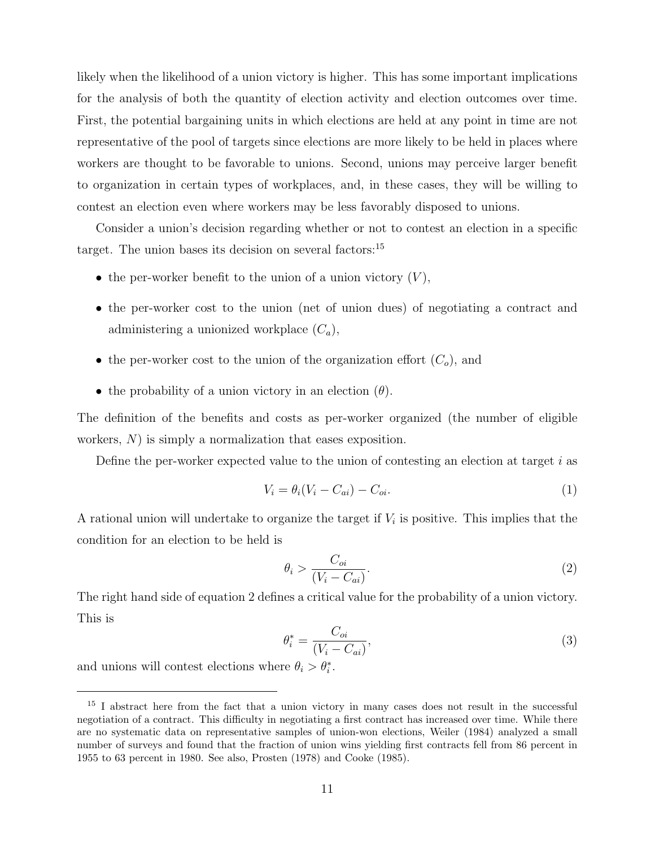likely when the likelihood of a union victory is higher. This has some important implications for the analysis of both the quantity of election activity and election outcomes over time. First, the potential bargaining units in which elections are held at any point in time are not representative of the pool of targets since elections are more likely to be held in places where workers are thought to be favorable to unions. Second, unions may perceive larger benefit to organization in certain types of workplaces, and, in these cases, they will be willing to contest an election even where workers may be less favorably disposed to unions.

Consider a union's decision regarding whether or not to contest an election in a specific target. The union bases its decision on several factors:<sup>15</sup>

- the per-worker benefit to the union of a union victory  $(V)$ ,
- the per-worker cost to the union (net of union dues) of negotiating a contract and administering a unionized workplace  $(C_a)$ ,
- the per-worker cost to the union of the organization effort  $(C_o)$ , and
- the probability of a union victory in an election  $(\theta)$ .

The definition of the benefits and costs as per-worker organized (the number of eligible workers, N) is simply a normalization that eases exposition.

Define the per-worker expected value to the union of contesting an election at target  $i$  as

$$
V_i = \theta_i (V_i - C_{ai}) - C_{oi}.\tag{1}
$$

A rational union will undertake to organize the target if  $V_i$  is positive. This implies that the condition for an election to be held is

$$
\theta_i > \frac{C_{oi}}{(V_i - C_{ai})}.\tag{2}
$$

The right hand side of equation 2 defines a critical value for the probability of a union victory. This is

$$
\theta_i^* = \frac{C_{oi}}{(V_i - C_{ai})},\tag{3}
$$

and unions will contest elections where  $\theta_i > \theta_i^*$ .

<sup>&</sup>lt;sup>15</sup> I abstract here from the fact that a union victory in many cases does not result in the successful negotiation of a contract. This difficulty in negotiating a first contract has increased over time. While there are no systematic data on representative samples of union-won elections, Weiler (1984) analyzed a small number of surveys and found that the fraction of union wins yielding first contracts fell from 86 percent in 1955 to 63 percent in 1980. See also, Prosten (1978) and Cooke (1985).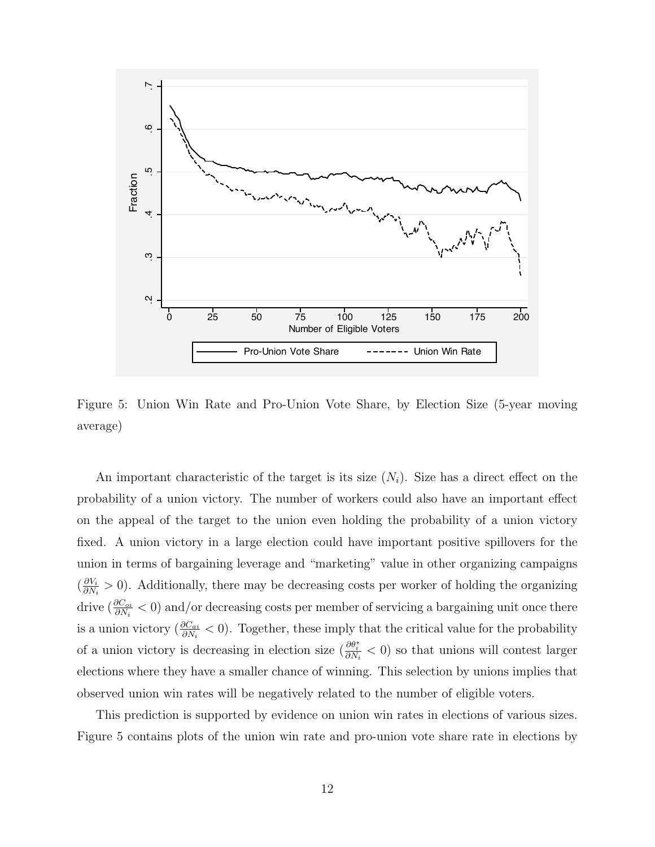

Figure 5: Union Win Rate and Pro-Union Vote Share, by Election Size (5-year moving average)

An important characteristic of the target is its size  $(N_i)$ . Size has a direct effect on the probability of a union victory. The number of workers could also have an important effect on the appeal of the target to the union even holding the probability of a union victory fixed. A union victory in a large election could have important positive spillovers for the union in terms of bargaining leverage and "marketing" value in other organizing campaigns  $\left(\frac{\partial V_i}{\partial N}\right)$  $\frac{\partial V_i}{\partial N_i} > 0$ . Additionally, there may be decreasing costs per worker of holding the organizing drive  $(\frac{\partial C_{oi}}{\partial N_i} < 0)$  and/or decreasing costs per member of servicing a bargaining unit once there is a union victory  $(\frac{\partial C_{ai}}{\partial N_i} < 0)$ . Together, these imply that the critical value for the probability of a union victory is decreasing in election size  $(\frac{\partial \theta_i^*}{\partial N_i} < 0)$  so that unions will contest larger elections where they have a smaller chance of winning. This selection by unions implies that observed union win rates will be negatively related to the number of eligible voters.

This prediction is supported by evidence on union win rates in elections of various sizes. Figure 5 contains plots of the union win rate and pro-union vote share rate in elections by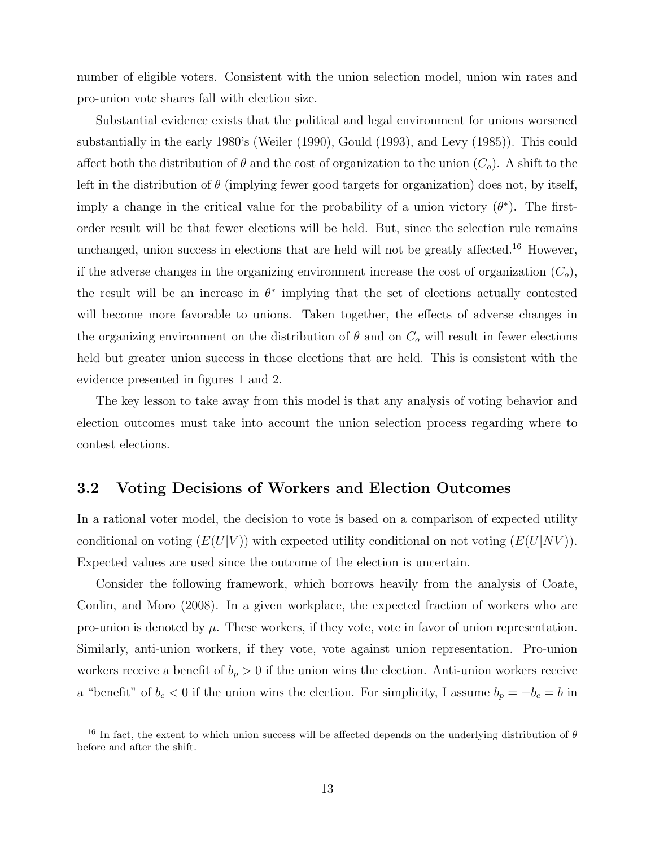number of eligible voters. Consistent with the union selection model, union win rates and pro-union vote shares fall with election size.

Substantial evidence exists that the political and legal environment for unions worsened substantially in the early 1980's (Weiler (1990), Gould (1993), and Levy (1985)). This could affect both the distribution of  $\theta$  and the cost of organization to the union  $(C_o)$ . A shift to the left in the distribution of  $\theta$  (implying fewer good targets for organization) does not, by itself, imply a change in the critical value for the probability of a union victory  $(\theta^*)$ . The firstorder result will be that fewer elections will be held. But, since the selection rule remains unchanged, union success in elections that are held will not be greatly affected.<sup>16</sup> However, if the adverse changes in the organizing environment increase the cost of organization  $(C_o)$ , the result will be an increase in  $\theta^*$  implying that the set of elections actually contested will become more favorable to unions. Taken together, the effects of adverse changes in the organizing environment on the distribution of  $\theta$  and on  $C<sub>o</sub>$  will result in fewer elections held but greater union success in those elections that are held. This is consistent with the evidence presented in figures 1 and 2.

The key lesson to take away from this model is that any analysis of voting behavior and election outcomes must take into account the union selection process regarding where to contest elections.

#### 3.2 Voting Decisions of Workers and Election Outcomes

In a rational voter model, the decision to vote is based on a comparison of expected utility conditional on voting  $(E(U|V))$  with expected utility conditional on not voting  $(E(U|NV))$ . Expected values are used since the outcome of the election is uncertain.

Consider the following framework, which borrows heavily from the analysis of Coate, Conlin, and Moro (2008). In a given workplace, the expected fraction of workers who are pro-union is denoted by  $\mu$ . These workers, if they vote, vote in favor of union representation. Similarly, anti-union workers, if they vote, vote against union representation. Pro-union workers receive a benefit of  $b_p > 0$  if the union wins the election. Anti-union workers receive a "benefit" of  $b_c < 0$  if the union wins the election. For simplicity, I assume  $b_p = -b_c = b$  in

<sup>&</sup>lt;sup>16</sup> In fact, the extent to which union success will be affected depends on the underlying distribution of  $\theta$ before and after the shift.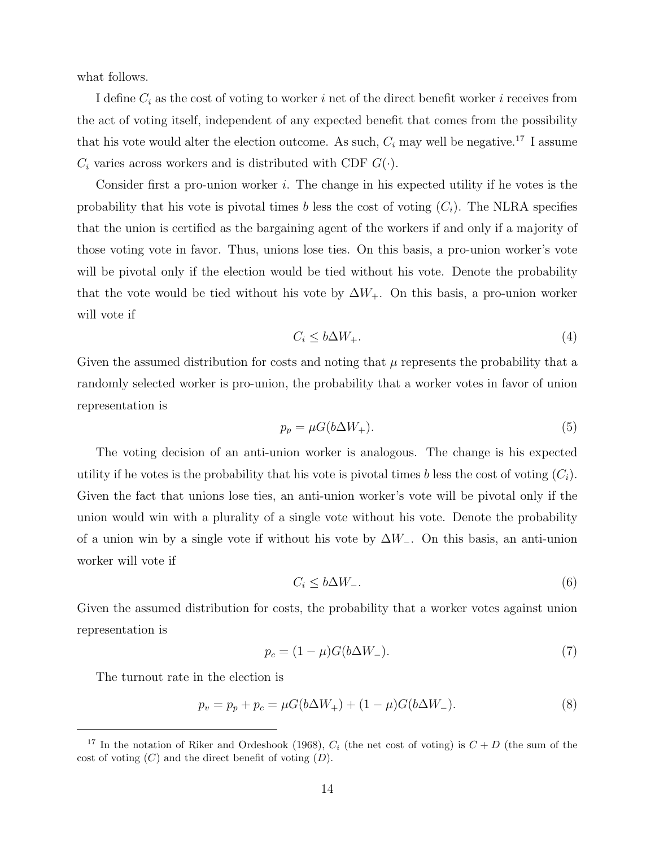what follows.

I define  $C_i$  as the cost of voting to worker i net of the direct benefit worker i receives from the act of voting itself, independent of any expected benefit that comes from the possibility that his vote would alter the election outcome. As such,  $C_i$  may well be negative.<sup>17</sup> I assume  $C_i$  varies across workers and is distributed with CDF  $G(\cdot)$ .

Consider first a pro-union worker  $i$ . The change in his expected utility if he votes is the probability that his vote is pivotal times b less the cost of voting  $(C_i)$ . The NLRA specifies that the union is certified as the bargaining agent of the workers if and only if a majority of those voting vote in favor. Thus, unions lose ties. On this basis, a pro-union worker's vote will be pivotal only if the election would be tied without his vote. Denote the probability that the vote would be tied without his vote by  $\Delta W_+$ . On this basis, a pro-union worker will vote if

$$
C_i \le b\Delta W_+.\tag{4}
$$

Given the assumed distribution for costs and noting that  $\mu$  represents the probability that a randomly selected worker is pro-union, the probability that a worker votes in favor of union representation is

$$
p_p = \mu G(b\Delta W_+). \tag{5}
$$

The voting decision of an anti-union worker is analogous. The change is his expected utility if he votes is the probability that his vote is pivotal times b less the cost of voting  $(C_i)$ . Given the fact that unions lose ties, an anti-union worker's vote will be pivotal only if the union would win with a plurality of a single vote without his vote. Denote the probability of a union win by a single vote if without his vote by  $\Delta W_-\$ . On this basis, an anti-union worker will vote if

$$
C_i \le b\Delta W_-\tag{6}
$$

Given the assumed distribution for costs, the probability that a worker votes against union representation is

$$
p_c = (1 - \mu)G(b\Delta W_-). \tag{7}
$$

The turnout rate in the election is

$$
p_v = p_p + p_c = \mu G(b\Delta W_+) + (1 - \mu)G(b\Delta W_-). \tag{8}
$$

<sup>&</sup>lt;sup>17</sup> In the notation of Riker and Ordeshook (1968),  $C_i$  (the net cost of voting) is  $C + D$  (the sum of the cost of voting  $(C)$  and the direct benefit of voting  $(D)$ .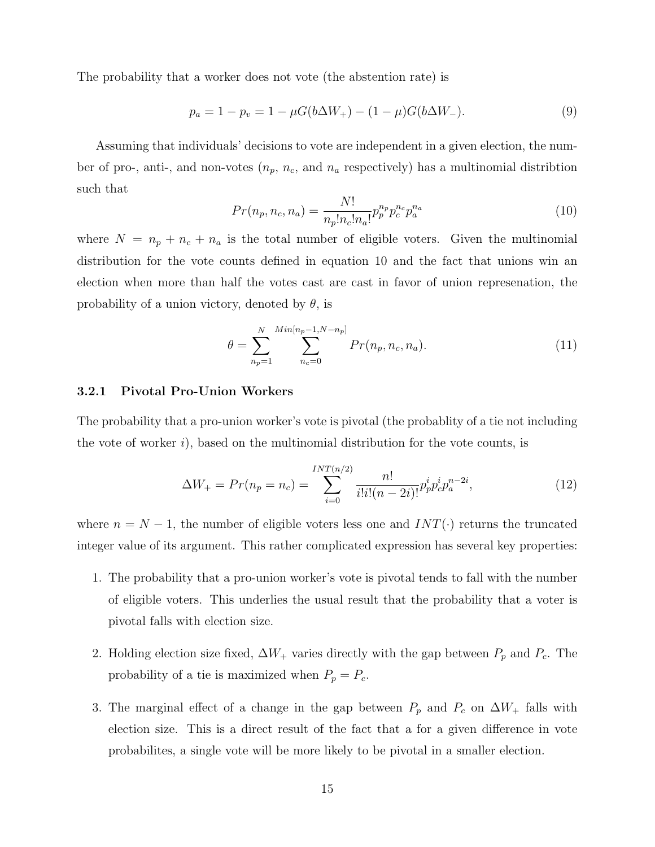The probability that a worker does not vote (the abstention rate) is

$$
p_a = 1 - p_v = 1 - \mu G(b\Delta W_+) - (1 - \mu)G(b\Delta W_-). \tag{9}
$$

Assuming that individuals' decisions to vote are independent in a given election, the number of pro-, anti-, and non-votes  $(n_p, n_c, \text{ and } n_a \text{ respectively})$  has a multinomial distribtion such that

$$
Pr(n_p, n_c, n_a) = \frac{N!}{n_p! n_c! n_a!} p_p^{n_p} p_c^{n_c} p_a^{n_a}
$$
\n(10)

where  $N = n_p + n_c + n_a$  is the total number of eligible voters. Given the multinomial distribution for the vote counts defined in equation 10 and the fact that unions win an election when more than half the votes cast are cast in favor of union represenation, the probability of a union victory, denoted by  $\theta$ , is

$$
\theta = \sum_{n_p=1}^{N} \sum_{n_c=0}^{Min[n_p-1, N-n_p]} Pr(n_p, n_c, n_a).
$$
\n(11)

#### 3.2.1 Pivotal Pro-Union Workers

The probability that a pro-union worker's vote is pivotal (the probablity of a tie not including the vote of worker  $i$ ), based on the multinomial distribution for the vote counts, is

$$
\Delta W_{+} = Pr(n_p = n_c) = \sum_{i=0}^{INT(n/2)} \frac{n!}{i!i!(n-2i)!} p_p^i p_c^i p_a^{n-2i}, \qquad (12)
$$

where  $n = N - 1$ , the number of eligible voters less one and  $INT(\cdot)$  returns the truncated integer value of its argument. This rather complicated expression has several key properties:

- 1. The probability that a pro-union worker's vote is pivotal tends to fall with the number of eligible voters. This underlies the usual result that the probability that a voter is pivotal falls with election size.
- 2. Holding election size fixed,  $\Delta W_+$  varies directly with the gap between  $P_p$  and  $P_c$ . The probability of a tie is maximized when  $P_p = P_c$ .
- 3. The marginal effect of a change in the gap between  $P_p$  and  $P_c$  on  $\Delta W_+$  falls with election size. This is a direct result of the fact that a for a given difference in vote probabilites, a single vote will be more likely to be pivotal in a smaller election.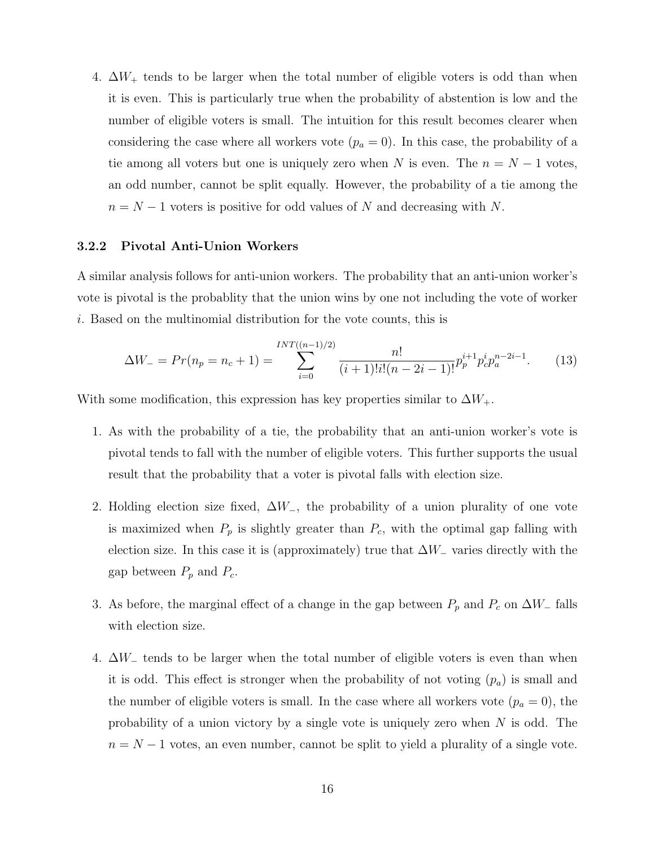4.  $\Delta W_+$  tends to be larger when the total number of eligible voters is odd than when it is even. This is particularly true when the probability of abstention is low and the number of eligible voters is small. The intuition for this result becomes clearer when considering the case where all workers vote  $(p_a = 0)$ . In this case, the probability of a tie among all voters but one is uniquely zero when N is even. The  $n = N - 1$  votes, an odd number, cannot be split equally. However, the probability of a tie among the  $n = N - 1$  voters is positive for odd values of N and decreasing with N.

#### 3.2.2 Pivotal Anti-Union Workers

A similar analysis follows for anti-union workers. The probability that an anti-union worker's vote is pivotal is the probablity that the union wins by one not including the vote of worker i. Based on the multinomial distribution for the vote counts, this is

$$
\Delta W_{-} = Pr(n_p = n_c + 1) = \sum_{i=0}^{INT((n-1)/2)} \frac{n!}{(i+1)!i!(n-2i-1)!} p_p^{i+1} p_c^i p_a^{n-2i-1}.
$$
 (13)

With some modification, this expression has key properties similar to  $\Delta W_+$ .

- 1. As with the probability of a tie, the probability that an anti-union worker's vote is pivotal tends to fall with the number of eligible voters. This further supports the usual result that the probability that a voter is pivotal falls with election size.
- 2. Holding election size fixed,  $\Delta W_-\$ , the probability of a union plurality of one vote is maximized when  $P_p$  is slightly greater than  $P_c$ , with the optimal gap falling with election size. In this case it is (approximately) true that  $\Delta W_-\$  varies directly with the gap between  $P_p$  and  $P_c$ .
- 3. As before, the marginal effect of a change in the gap between  $P_p$  and  $P_c$  on  $\Delta W_-\$  falls with election size.
- 4. ∆W<sup>−</sup> tends to be larger when the total number of eligible voters is even than when it is odd. This effect is stronger when the probability of not voting  $(p_a)$  is small and the number of eligible voters is small. In the case where all workers vote  $(p_a = 0)$ , the probability of a union victory by a single vote is uniquely zero when N is odd. The  $n = N - 1$  votes, an even number, cannot be split to yield a plurality of a single vote.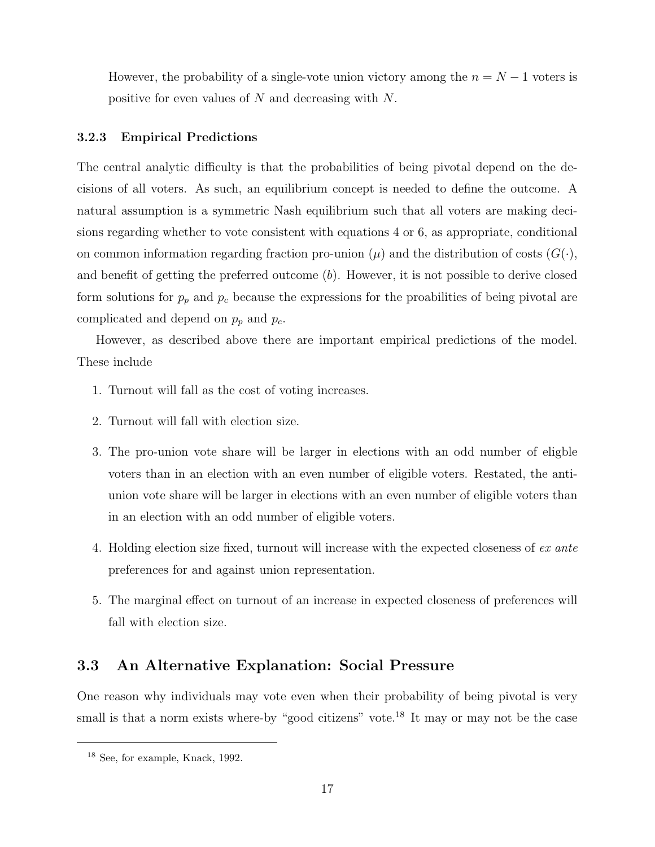However, the probability of a single-vote union victory among the  $n = N - 1$  voters is positive for even values of N and decreasing with N.

#### 3.2.3 Empirical Predictions

The central analytic difficulty is that the probabilities of being pivotal depend on the decisions of all voters. As such, an equilibrium concept is needed to define the outcome. A natural assumption is a symmetric Nash equilibrium such that all voters are making decisions regarding whether to vote consistent with equations 4 or 6, as appropriate, conditional on common information regarding fraction pro-union  $(\mu)$  and the distribution of costs  $(G(\cdot),$ and benefit of getting the preferred outcome  $(b)$ . However, it is not possible to derive closed form solutions for  $p_p$  and  $p_c$  because the expressions for the proabilities of being pivotal are complicated and depend on  $p_p$  and  $p_c$ .

However, as described above there are important empirical predictions of the model. These include

- 1. Turnout will fall as the cost of voting increases.
- 2. Turnout will fall with election size.
- 3. The pro-union vote share will be larger in elections with an odd number of eligble voters than in an election with an even number of eligible voters. Restated, the antiunion vote share will be larger in elections with an even number of eligible voters than in an election with an odd number of eligible voters.
- 4. Holding election size fixed, turnout will increase with the expected closeness of ex ante preferences for and against union representation.
- 5. The marginal effect on turnout of an increase in expected closeness of preferences will fall with election size.

### 3.3 An Alternative Explanation: Social Pressure

One reason why individuals may vote even when their probability of being pivotal is very small is that a norm exists where-by "good citizens" vote.<sup>18</sup> It may or may not be the case

<sup>18</sup> See, for example, Knack, 1992.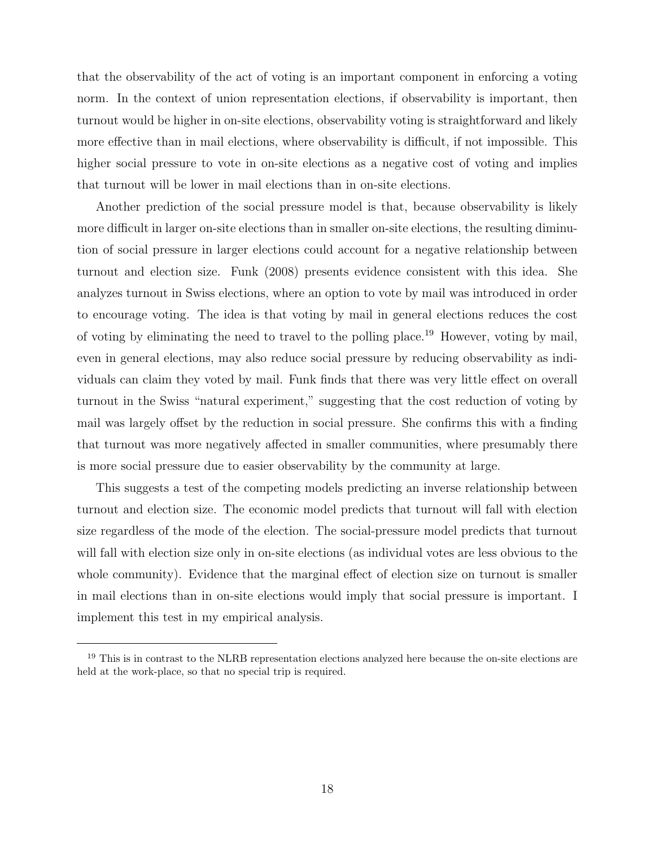that the observability of the act of voting is an important component in enforcing a voting norm. In the context of union representation elections, if observability is important, then turnout would be higher in on-site elections, observability voting is straightforward and likely more effective than in mail elections, where observability is difficult, if not impossible. This higher social pressure to vote in on-site elections as a negative cost of voting and implies that turnout will be lower in mail elections than in on-site elections.

Another prediction of the social pressure model is that, because observability is likely more difficult in larger on-site elections than in smaller on-site elections, the resulting diminution of social pressure in larger elections could account for a negative relationship between turnout and election size. Funk (2008) presents evidence consistent with this idea. She analyzes turnout in Swiss elections, where an option to vote by mail was introduced in order to encourage voting. The idea is that voting by mail in general elections reduces the cost of voting by eliminating the need to travel to the polling place.<sup>19</sup> However, voting by mail, even in general elections, may also reduce social pressure by reducing observability as individuals can claim they voted by mail. Funk finds that there was very little effect on overall turnout in the Swiss "natural experiment," suggesting that the cost reduction of voting by mail was largely offset by the reduction in social pressure. She confirms this with a finding that turnout was more negatively affected in smaller communities, where presumably there is more social pressure due to easier observability by the community at large.

This suggests a test of the competing models predicting an inverse relationship between turnout and election size. The economic model predicts that turnout will fall with election size regardless of the mode of the election. The social-pressure model predicts that turnout will fall with election size only in on-site elections (as individual votes are less obvious to the whole community). Evidence that the marginal effect of election size on turnout is smaller in mail elections than in on-site elections would imply that social pressure is important. I implement this test in my empirical analysis.

<sup>&</sup>lt;sup>19</sup> This is in contrast to the NLRB representation elections analyzed here because the on-site elections are held at the work-place, so that no special trip is required.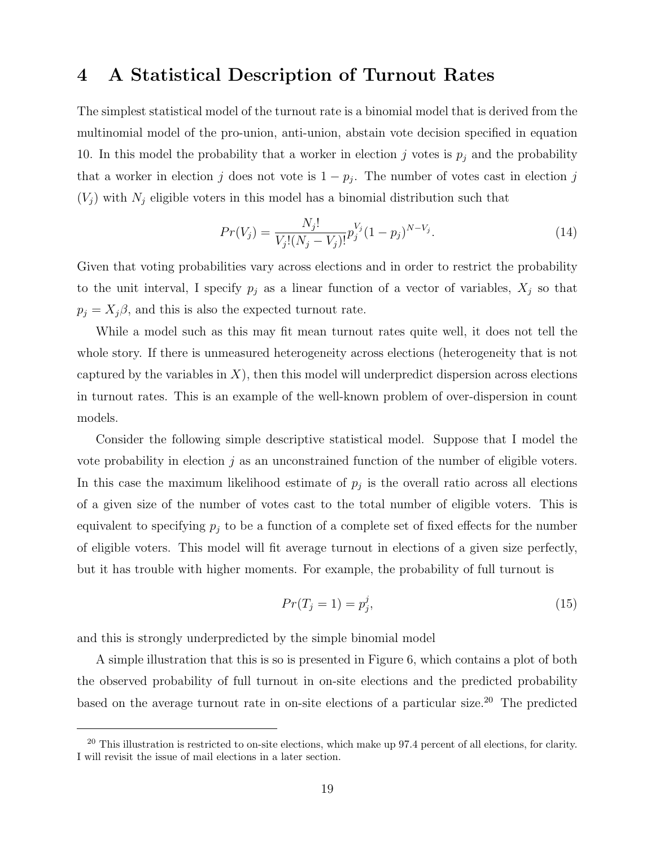## 4 A Statistical Description of Turnout Rates

The simplest statistical model of the turnout rate is a binomial model that is derived from the multinomial model of the pro-union, anti-union, abstain vote decision specified in equation 10. In this model the probability that a worker in election j votes is  $p_j$  and the probability that a worker in election j does not vote is  $1 - p_j$ . The number of votes cast in election j  $(V_j)$  with  $N_j$  eligible voters in this model has a binomial distribution such that

$$
Pr(V_j) = \frac{N_j!}{V_j!(N_j - V_j)!} p_j^{V_j} (1 - p_j)^{N - V_j}.
$$
\n(14)

Given that voting probabilities vary across elections and in order to restrict the probability to the unit interval, I specify  $p_j$  as a linear function of a vector of variables,  $X_j$  so that  $p_j = X_j \beta$ , and this is also the expected turnout rate.

While a model such as this may fit mean turnout rates quite well, it does not tell the whole story. If there is unmeasured heterogeneity across elections (heterogeneity that is not captured by the variables in  $X$ ), then this model will underpredict dispersion across elections in turnout rates. This is an example of the well-known problem of over-dispersion in count models.

Consider the following simple descriptive statistical model. Suppose that I model the vote probability in election  $j$  as an unconstrained function of the number of eligible voters. In this case the maximum likelihood estimate of  $p_j$  is the overall ratio across all elections of a given size of the number of votes cast to the total number of eligible voters. This is equivalent to specifying  $p_j$  to be a function of a complete set of fixed effects for the number of eligible voters. This model will fit average turnout in elections of a given size perfectly, but it has trouble with higher moments. For example, the probability of full turnout is

$$
Pr(T_j = 1) = p_j^j,\tag{15}
$$

and this is strongly underpredicted by the simple binomial model

A simple illustration that this is so is presented in Figure 6, which contains a plot of both the observed probability of full turnout in on-site elections and the predicted probability based on the average turnout rate in on-site elections of a particular size.<sup>20</sup> The predicted

 $20$  This illustration is restricted to on-site elections, which make up 97.4 percent of all elections, for clarity. I will revisit the issue of mail elections in a later section.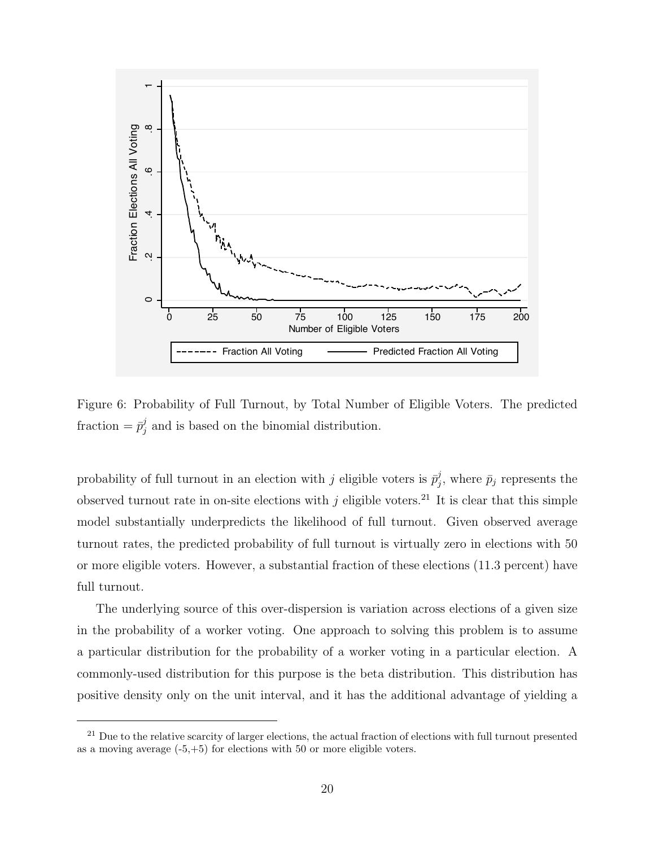

Figure 6: Probability of Full Turnout, by Total Number of Eligible Voters. The predicted fraction  $= \bar{p}_i^j$  $j$  and is based on the binomial distribution.

probability of full turnout in an election with j eligible voters is  $\bar{p}_i^j$  $j$ , where  $\bar{p}_j$  represents the observed turnout rate in on-site elections with j eligible voters.<sup>21</sup> It is clear that this simple model substantially underpredicts the likelihood of full turnout. Given observed average turnout rates, the predicted probability of full turnout is virtually zero in elections with 50 or more eligible voters. However, a substantial fraction of these elections (11.3 percent) have full turnout.

The underlying source of this over-dispersion is variation across elections of a given size in the probability of a worker voting. One approach to solving this problem is to assume a particular distribution for the probability of a worker voting in a particular election. A commonly-used distribution for this purpose is the beta distribution. This distribution has positive density only on the unit interval, and it has the additional advantage of yielding a

 $21$  Due to the relative scarcity of larger elections, the actual fraction of elections with full turnout presented as a moving average (-5,+5) for elections with 50 or more eligible voters.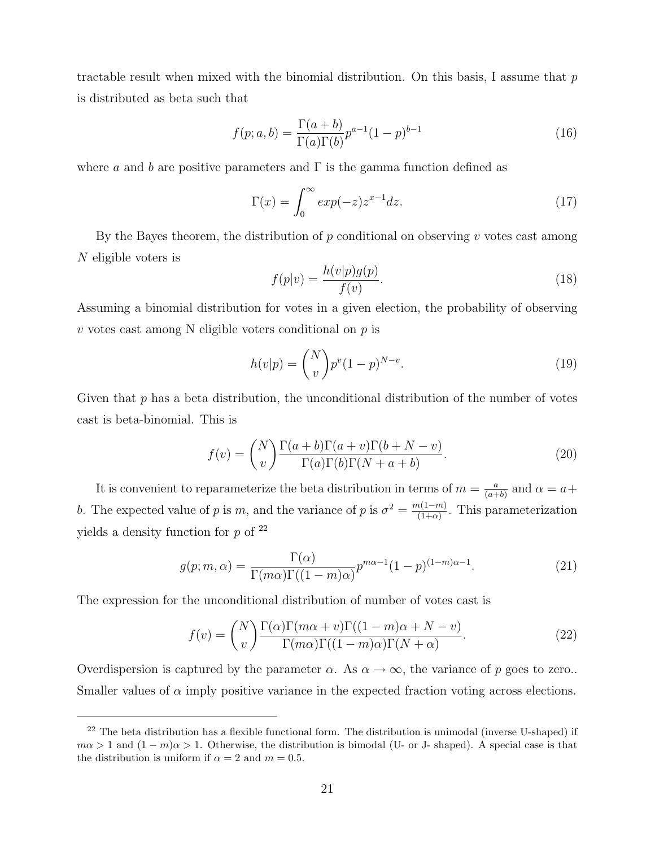tractable result when mixed with the binomial distribution. On this basis, I assume that  $p$ is distributed as beta such that

$$
f(p;a,b) = \frac{\Gamma(a+b)}{\Gamma(a)\Gamma(b)} p^{a-1} (1-p)^{b-1}
$$
 (16)

where a and b are positive parameters and  $\Gamma$  is the gamma function defined as

$$
\Gamma(x) = \int_0^\infty \exp(-z) z^{x-1} dz.
$$
\n(17)

By the Bayes theorem, the distribution of  $p$  conditional on observing  $v$  votes cast among N eligible voters is

$$
f(p|v) = \frac{h(v|p)g(p)}{f(v)}.
$$
\n(18)

Assuming a binomial distribution for votes in a given election, the probability of observing  $v$  votes cast among N eligible voters conditional on  $p$  is

$$
h(v|p) = \binom{N}{v} p^v (1-p)^{N-v}.
$$
\n(19)

Given that  $p$  has a beta distribution, the unconditional distribution of the number of votes cast is beta-binomial. This is

$$
f(v) = {N \choose v} \frac{\Gamma(a+b)\Gamma(a+v)\Gamma(b+N-v)}{\Gamma(a)\Gamma(b)\Gamma(N+a+b)}.
$$
 (20)

It is convenient to reparameterize the beta distribution in terms of  $m = \frac{a}{\sqrt{a+b}}$  $\frac{a}{(a+b)}$  and  $\alpha = a +$ b. The expected value of p is m, and the variance of p is  $\sigma^2 = \frac{m(1-m)}{(1+\alpha)}$  $\frac{n(1-m)}{(1+\alpha)}$ . This parameterization yields a density function for  $p$  of  $^{22}$ 

$$
g(p;m,\alpha) = \frac{\Gamma(\alpha)}{\Gamma(m\alpha)\Gamma((1-m)\alpha)} p^{m\alpha-1} (1-p)^{(1-m)\alpha-1}.
$$
 (21)

The expression for the unconditional distribution of number of votes cast is

$$
f(v) = {N \choose v} \frac{\Gamma(\alpha)\Gamma(m\alpha + v)\Gamma((1 - m)\alpha + N - v)}{\Gamma(m\alpha)\Gamma((1 - m)\alpha)\Gamma(N + \alpha)}.
$$
 (22)

Overdispersion is captured by the parameter  $\alpha$ . As  $\alpha \to \infty$ , the variance of p goes to zero.. Smaller values of  $\alpha$  imply positive variance in the expected fraction voting across elections.

<sup>&</sup>lt;sup>22</sup> The beta distribution has a flexible functional form. The distribution is unimodal (inverse U-shaped) if  $m\alpha > 1$  and  $(1 - m)\alpha > 1$ . Otherwise, the distribution is bimodal (U- or J- shaped). A special case is that the distribution is uniform if  $\alpha = 2$  and  $m = 0.5$ .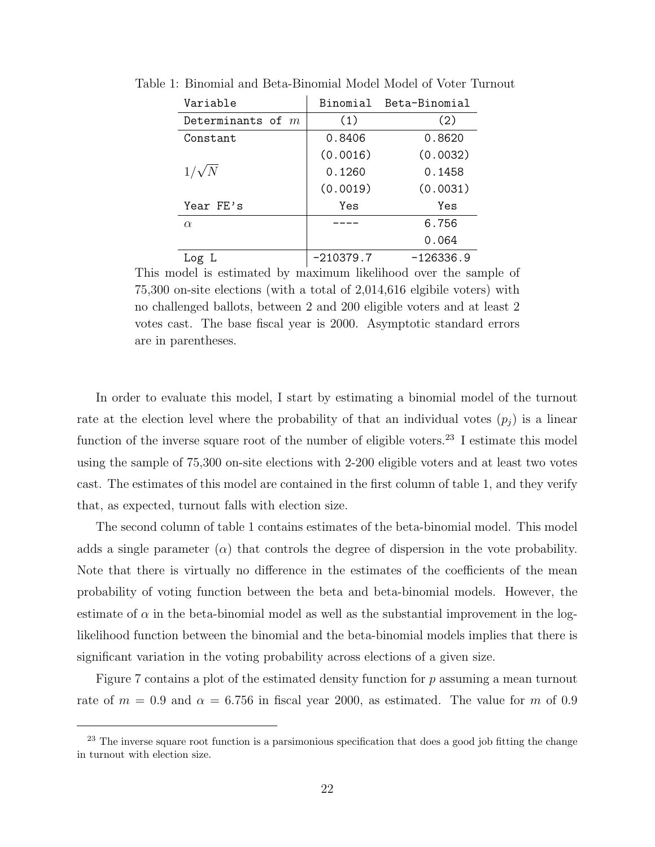| Variable            |             | Binomial Beta-Binomial |
|---------------------|-------------|------------------------|
| Determinants of $m$ | (1)         | (2)                    |
| Constant            | 0.8406      | 0.8620                 |
|                     | (0.0016)    | (0.0032)               |
| $1/\sqrt{N}$        | 0.1260      | 0.1458                 |
|                     | (0.0019)    | (0.0031)               |
| Year FE's           | Yes         | Yes                    |
| $\alpha$            |             | 6.756                  |
|                     |             | 0.064                  |
| Log L               | $-210379.7$ | $-126336.9$            |

Table 1: Binomial and Beta-Binomial Model Model of Voter Turnout

This model is estimated by maximum likelihood over the sample of 75,300 on-site elections (with a total of 2,014,616 elgibile voters) with no challenged ballots, between 2 and 200 eligible voters and at least 2 votes cast. The base fiscal year is 2000. Asymptotic standard errors are in parentheses.

In order to evaluate this model, I start by estimating a binomial model of the turnout rate at the election level where the probability of that an individual votes  $(p_i)$  is a linear function of the inverse square root of the number of eligible voters.<sup>23</sup> I estimate this model using the sample of 75,300 on-site elections with 2-200 eligible voters and at least two votes cast. The estimates of this model are contained in the first column of table 1, and they verify that, as expected, turnout falls with election size.

The second column of table 1 contains estimates of the beta-binomial model. This model adds a single parameter  $(\alpha)$  that controls the degree of dispersion in the vote probability. Note that there is virtually no difference in the estimates of the coefficients of the mean probability of voting function between the beta and beta-binomial models. However, the estimate of  $\alpha$  in the beta-binomial model as well as the substantial improvement in the loglikelihood function between the binomial and the beta-binomial models implies that there is significant variation in the voting probability across elections of a given size.

Figure 7 contains a plot of the estimated density function for  $p$  assuming a mean turnout rate of  $m = 0.9$  and  $\alpha = 6.756$  in fiscal year 2000, as estimated. The value for m of 0.9

<sup>&</sup>lt;sup>23</sup> The inverse square root function is a parsimonious specification that does a good job fitting the change in turnout with election size.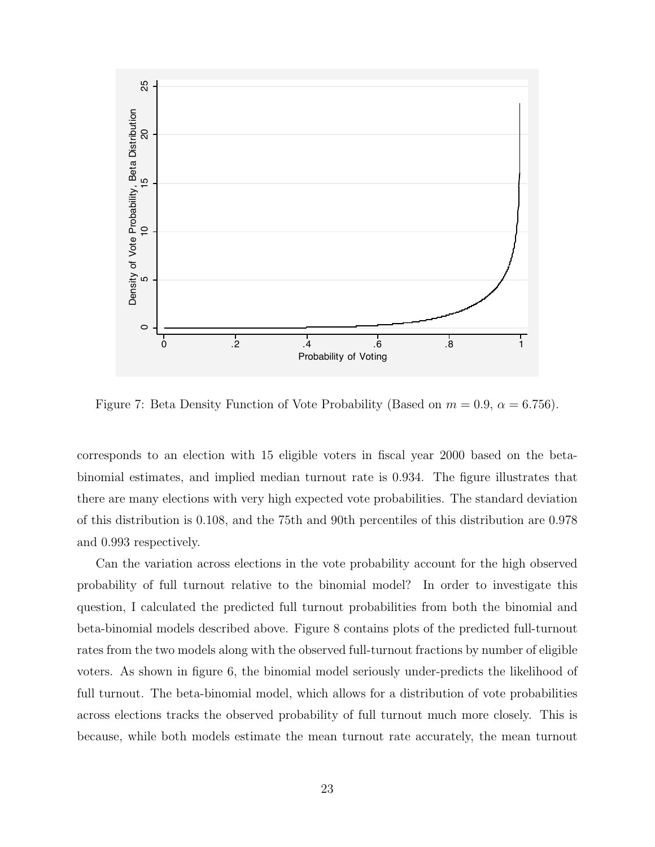

Figure 7: Beta Density Function of Vote Probability (Based on  $m = 0.9$ ,  $\alpha = 6.756$ ).

corresponds to an election with 15 eligible voters in fiscal year 2000 based on the betabinomial estimates, and implied median turnout rate is 0.934. The figure illustrates that there are many elections with very high expected vote probabilities. The standard deviation of this distribution is 0.108, and the 75th and 90th percentiles of this distribution are 0.978 and 0.993 respectively.

Can the variation across elections in the vote probability account for the high observed probability of full turnout relative to the binomial model? In order to investigate this question, I calculated the predicted full turnout probabilities from both the binomial and beta-binomial models described above. Figure 8 contains plots of the predicted full-turnout rates from the two models along with the observed full-turnout fractions by number of eligible voters. As shown in figure 6, the binomial model seriously under-predicts the likelihood of full turnout. The beta-binomial model, which allows for a distribution of vote probabilities across elections tracks the observed probability of full turnout much more closely. This is because, while both models estimate the mean turnout rate accurately, the mean turnout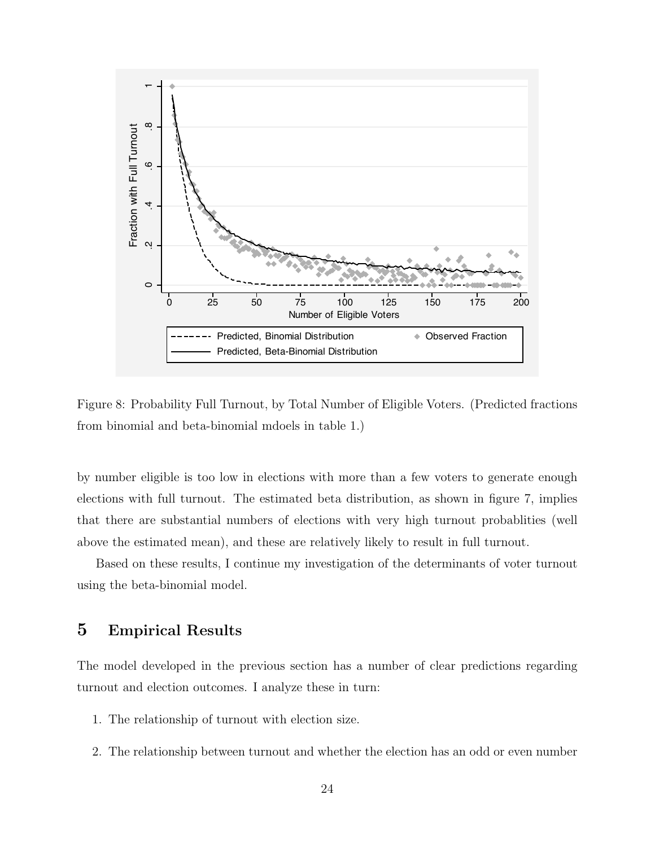

Figure 8: Probability Full Turnout, by Total Number of Eligible Voters. (Predicted fractions from binomial and beta-binomial mdoels in table 1.)

by number eligible is too low in elections with more than a few voters to generate enough elections with full turnout. The estimated beta distribution, as shown in figure 7, implies that there are substantial numbers of elections with very high turnout probablities (well above the estimated mean), and these are relatively likely to result in full turnout.

Based on these results, I continue my investigation of the determinants of voter turnout using the beta-binomial model.

### 5 Empirical Results

The model developed in the previous section has a number of clear predictions regarding turnout and election outcomes. I analyze these in turn:

- 1. The relationship of turnout with election size.
- 2. The relationship between turnout and whether the election has an odd or even number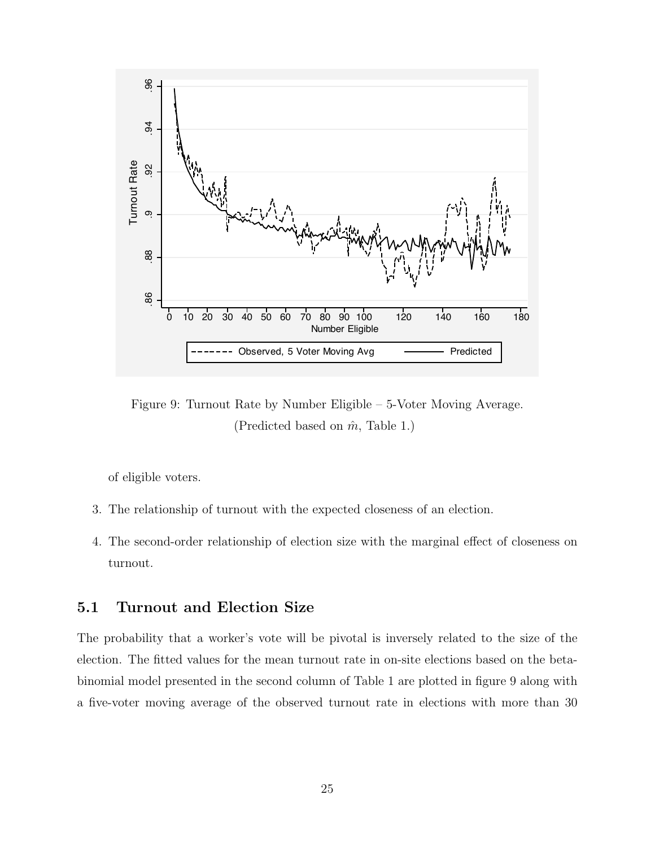

Figure 9: Turnout Rate by Number Eligible – 5-Voter Moving Average. (Predicted based on  $\hat{m}$ , Table 1.)

of eligible voters.

- 3. The relationship of turnout with the expected closeness of an election.
- 4. The second-order relationship of election size with the marginal effect of closeness on turnout.

## 5.1 Turnout and Election Size

The probability that a worker's vote will be pivotal is inversely related to the size of the election. The fitted values for the mean turnout rate in on-site elections based on the betabinomial model presented in the second column of Table 1 are plotted in figure 9 along with a five-voter moving average of the observed turnout rate in elections with more than 30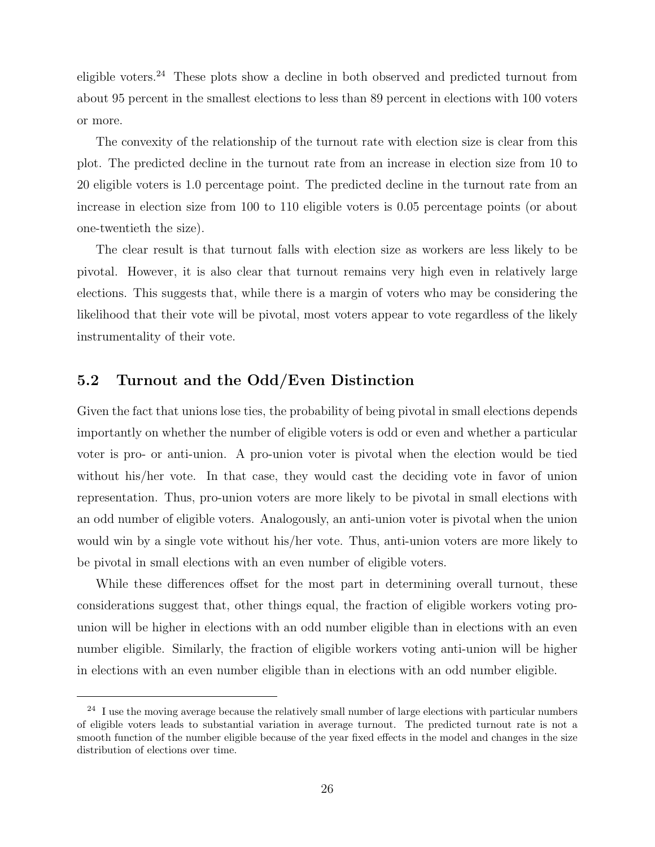eligible voters.<sup>24</sup> These plots show a decline in both observed and predicted turnout from about 95 percent in the smallest elections to less than 89 percent in elections with 100 voters or more.

The convexity of the relationship of the turnout rate with election size is clear from this plot. The predicted decline in the turnout rate from an increase in election size from 10 to 20 eligible voters is 1.0 percentage point. The predicted decline in the turnout rate from an increase in election size from 100 to 110 eligible voters is 0.05 percentage points (or about one-twentieth the size).

The clear result is that turnout falls with election size as workers are less likely to be pivotal. However, it is also clear that turnout remains very high even in relatively large elections. This suggests that, while there is a margin of voters who may be considering the likelihood that their vote will be pivotal, most voters appear to vote regardless of the likely instrumentality of their vote.

#### 5.2 Turnout and the Odd/Even Distinction

Given the fact that unions lose ties, the probability of being pivotal in small elections depends importantly on whether the number of eligible voters is odd or even and whether a particular voter is pro- or anti-union. A pro-union voter is pivotal when the election would be tied without his/her vote. In that case, they would cast the deciding vote in favor of union representation. Thus, pro-union voters are more likely to be pivotal in small elections with an odd number of eligible voters. Analogously, an anti-union voter is pivotal when the union would win by a single vote without his/her vote. Thus, anti-union voters are more likely to be pivotal in small elections with an even number of eligible voters.

While these differences offset for the most part in determining overall turnout, these considerations suggest that, other things equal, the fraction of eligible workers voting prounion will be higher in elections with an odd number eligible than in elections with an even number eligible. Similarly, the fraction of eligible workers voting anti-union will be higher in elections with an even number eligible than in elections with an odd number eligible.

 $24$  I use the moving average because the relatively small number of large elections with particular numbers of eligible voters leads to substantial variation in average turnout. The predicted turnout rate is not a smooth function of the number eligible because of the year fixed effects in the model and changes in the size distribution of elections over time.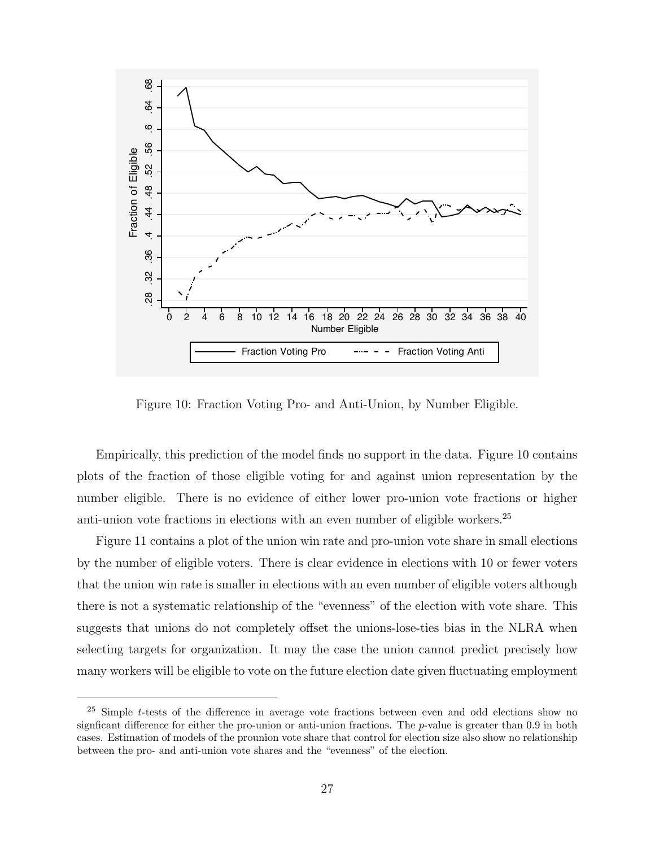

Figure 10: Fraction Voting Pro- and Anti-Union, by Number Eligible.

Empirically, this prediction of the model finds no support in the data. Figure 10 contains plots of the fraction of those eligible voting for and against union representation by the number eligible. There is no evidence of either lower pro-union vote fractions or higher anti-union vote fractions in elections with an even number of eligible workers.<sup>25</sup>

Figure 11 contains a plot of the union win rate and pro-union vote share in small elections by the number of eligible voters. There is clear evidence in elections with 10 or fewer voters that the union win rate is smaller in elections with an even number of eligible voters although there is not a systematic relationship of the "evenness" of the election with vote share. This suggests that unions do not completely offset the unions-lose-ties bias in the NLRA when selecting targets for organization. It may the case the union cannot predict precisely how many workers will be eligible to vote on the future election date given fluctuating employment

 $25$  Simple t-tests of the difference in average vote fractions between even and odd elections show no signficant difference for either the pro-union or anti-union fractions. The p-value is greater than 0.9 in both cases. Estimation of models of the prounion vote share that control for election size also show no relationship between the pro- and anti-union vote shares and the "evenness" of the election.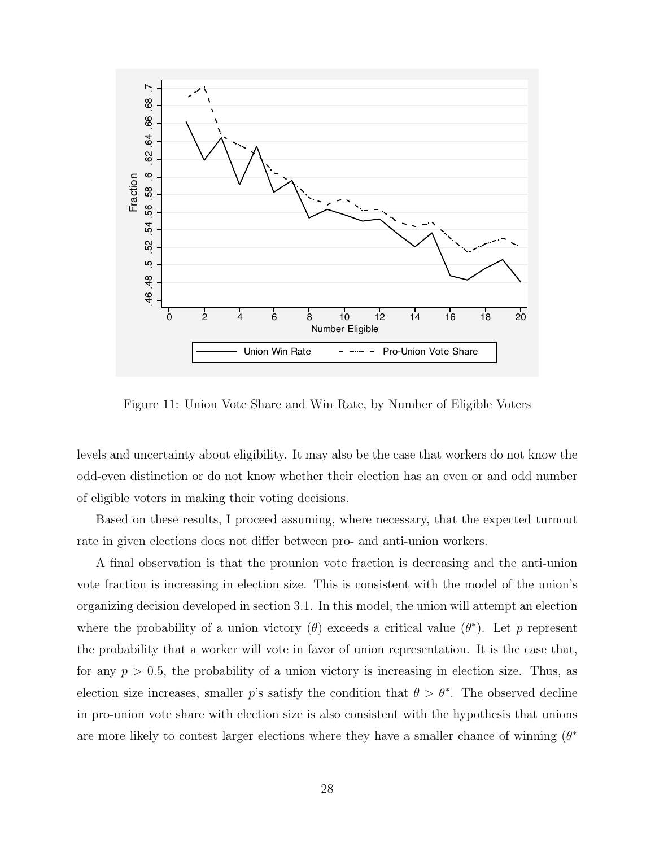

Figure 11: Union Vote Share and Win Rate, by Number of Eligible Voters

levels and uncertainty about eligibility. It may also be the case that workers do not know the odd-even distinction or do not know whether their election has an even or and odd number of eligible voters in making their voting decisions.

Based on these results, I proceed assuming, where necessary, that the expected turnout rate in given elections does not differ between pro- and anti-union workers.

A final observation is that the prounion vote fraction is decreasing and the anti-union vote fraction is increasing in election size. This is consistent with the model of the union's organizing decision developed in section 3.1. In this model, the union will attempt an election where the probability of a union victory  $(\theta)$  exceeds a critical value  $(\theta^*)$ . Let p represent the probability that a worker will vote in favor of union representation. It is the case that, for any  $p > 0.5$ , the probability of a union victory is increasing in election size. Thus, as election size increases, smaller p's satisfy the condition that  $\theta > \theta^*$ . The observed decline in pro-union vote share with election size is also consistent with the hypothesis that unions are more likely to contest larger elections where they have a smaller chance of winning  $(\theta^*)$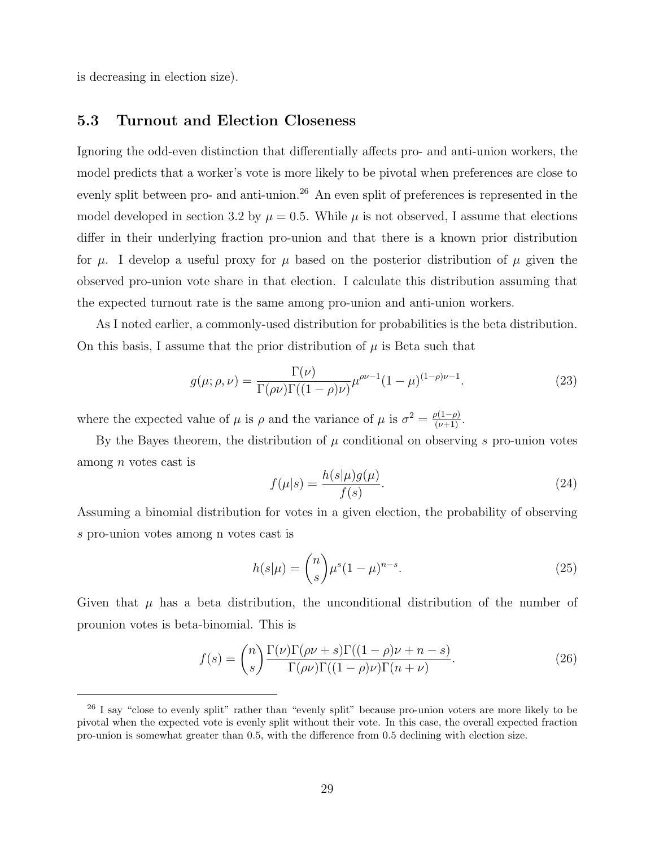is decreasing in election size).

#### 5.3 Turnout and Election Closeness

Ignoring the odd-even distinction that differentially affects pro- and anti-union workers, the model predicts that a worker's vote is more likely to be pivotal when preferences are close to evenly split between pro- and anti-union.<sup>26</sup> An even split of preferences is represented in the model developed in section 3.2 by  $\mu = 0.5$ . While  $\mu$  is not observed, I assume that elections differ in their underlying fraction pro-union and that there is a known prior distribution for  $\mu$ . I develop a useful proxy for  $\mu$  based on the posterior distribution of  $\mu$  given the observed pro-union vote share in that election. I calculate this distribution assuming that the expected turnout rate is the same among pro-union and anti-union workers.

As I noted earlier, a commonly-used distribution for probabilities is the beta distribution. On this basis, I assume that the prior distribution of  $\mu$  is Beta such that

$$
g(\mu; \rho, \nu) = \frac{\Gamma(\nu)}{\Gamma(\rho \nu)\Gamma((1-\rho)\nu)} \mu^{\rho \nu - 1} (1 - \mu)^{(1-\rho)\nu - 1}.
$$
 (23)

where the expected value of  $\mu$  is  $\rho$  and the variance of  $\mu$  is  $\sigma^2 = \frac{\rho(1-\rho)}{(\nu+1)}$ .

By the Bayes theorem, the distribution of  $\mu$  conditional on observing s pro-union votes among n votes cast is

$$
f(\mu|s) = \frac{h(s|\mu)g(\mu)}{f(s)}.\tag{24}
$$

Assuming a binomial distribution for votes in a given election, the probability of observing s pro-union votes among n votes cast is

$$
h(s|\mu) = \binom{n}{s} \mu^s (1-\mu)^{n-s}.
$$
\n(25)

Given that  $\mu$  has a beta distribution, the unconditional distribution of the number of prounion votes is beta-binomial. This is

$$
f(s) = {n \choose s} \frac{\Gamma(\nu)\Gamma(\rho\nu + s)\Gamma((1 - \rho)\nu + n - s)}{\Gamma(\rho\nu)\Gamma((1 - \rho)\nu)\Gamma(n + \nu)}.
$$
 (26)

<sup>&</sup>lt;sup>26</sup> I say "close to evenly split" rather than "evenly split" because pro-union voters are more likely to be pivotal when the expected vote is evenly split without their vote. In this case, the overall expected fraction pro-union is somewhat greater than 0.5, with the difference from 0.5 declining with election size.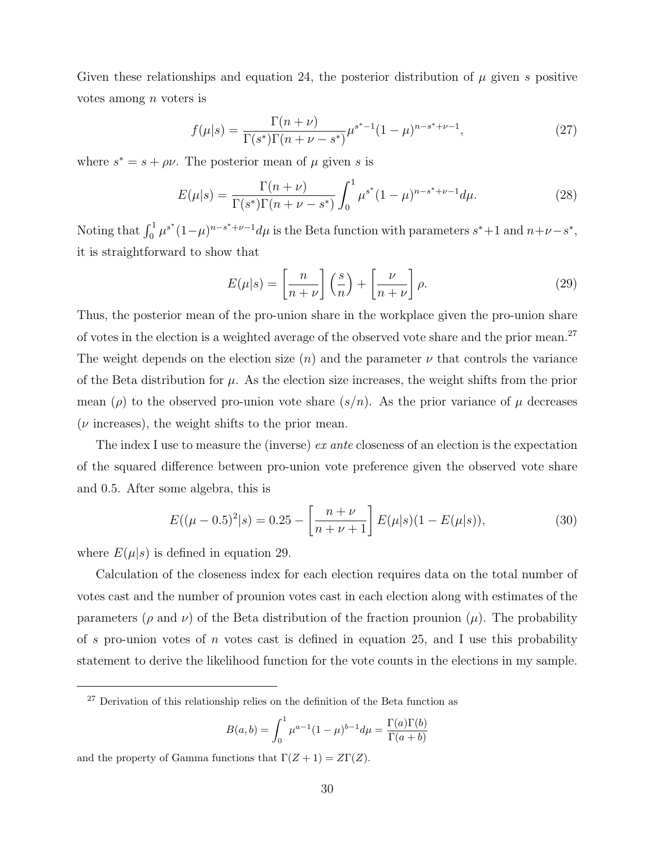Given these relationships and equation 24, the posterior distribution of  $\mu$  given s positive votes among  $n$  voters is

$$
f(\mu|s) = \frac{\Gamma(n+\nu)}{\Gamma(s^*)\Gamma(n+\nu-s^*)} \mu^{s^*-1} (1-\mu)^{n-s^*+\nu-1},\tag{27}
$$

where  $s^* = s + \rho \nu$ . The posterior mean of  $\mu$  given s is

$$
E(\mu|s) = \frac{\Gamma(n+\nu)}{\Gamma(s^*)\Gamma(n+\nu-s^*)} \int_0^1 \mu^{s^*} (1-\mu)^{n-s^*+\nu-1} d\mu.
$$
 (28)

Noting that  $\int_0^1 \mu^{s^*}(1-\mu)^{n-s^*+\nu-1}d\mu$  is the Beta function with parameters  $s^*+1$  and  $n+\nu-s^*$ , it is straightforward to show that

$$
E(\mu|s) = \left[\frac{n}{n+\nu}\right] \left(\frac{s}{n}\right) + \left[\frac{\nu}{n+\nu}\right] \rho.
$$
 (29)

Thus, the posterior mean of the pro-union share in the workplace given the pro-union share of votes in the election is a weighted average of the observed vote share and the prior mean.<sup>27</sup> The weight depends on the election size  $(n)$  and the parameter  $\nu$  that controls the variance of the Beta distribution for  $\mu$ . As the election size increases, the weight shifts from the prior mean ( $\rho$ ) to the observed pro-union vote share  $(s/n)$ . As the prior variance of  $\mu$  decreases  $(\nu \text{ increases})$ , the weight shifts to the prior mean.

The index I use to measure the (inverse) ex ante closeness of an election is the expectation of the squared difference between pro-union vote preference given the observed vote share and 0.5. After some algebra, this is

$$
E((\mu - 0.5)^2 | s) = 0.25 - \left[ \frac{n + \nu}{n + \nu + 1} \right] E(\mu | s) (1 - E(\mu | s)), \tag{30}
$$

where  $E(\mu|s)$  is defined in equation 29.

Calculation of the closeness index for each election requires data on the total number of votes cast and the number of prounion votes cast in each election along with estimates of the parameters ( $\rho$  and  $\nu$ ) of the Beta distribution of the fraction prounion ( $\mu$ ). The probability of s pro-union votes of n votes cast is defined in equation 25, and I use this probability statement to derive the likelihood function for the vote counts in the elections in my sample.

$$
B(a,b) = \int_0^1 \mu^{a-1} (1-\mu)^{b-1} d\mu = \frac{\Gamma(a)\Gamma(b)}{\Gamma(a+b)}
$$

and the property of Gamma functions that  $\Gamma(Z + 1) = Z\Gamma(Z)$ .

 $27$  Derivation of this relationship relies on the definition of the Beta function as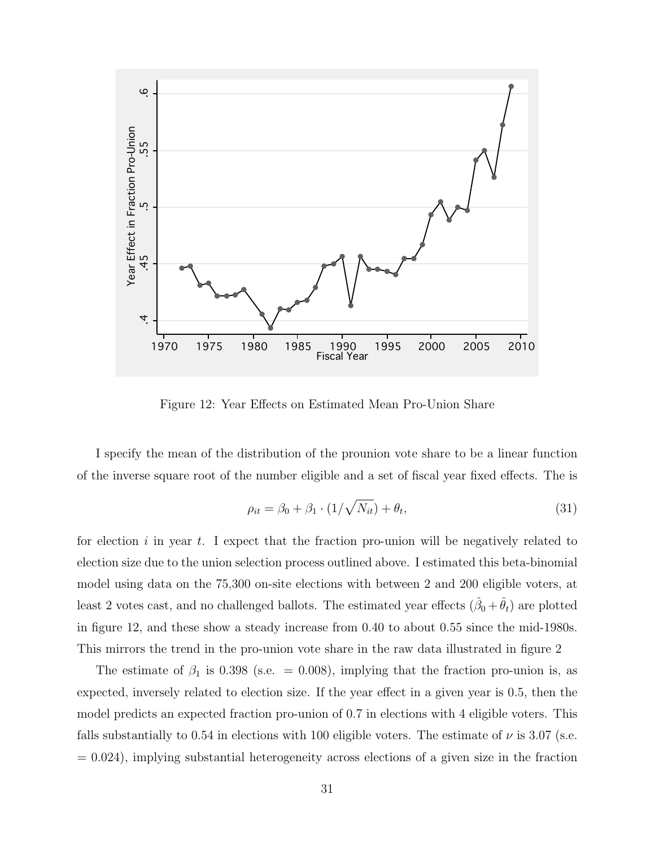

Figure 12: Year Effects on Estimated Mean Pro-Union Share

I specify the mean of the distribution of the prounion vote share to be a linear function of the inverse square root of the number eligible and a set of fiscal year fixed effects. The is

$$
\rho_{it} = \beta_0 + \beta_1 \cdot (1/\sqrt{N_{it}}) + \theta_t,\tag{31}
$$

for election i in year t. I expect that the fraction pro-union will be negatively related to election size due to the union selection process outlined above. I estimated this beta-binomial model using data on the 75,300 on-site elections with between 2 and 200 eligible voters, at least 2 votes cast, and no challenged ballots. The estimated year effects  $(\hat{\beta}_0 + \hat{\theta}_t)$  are plotted in figure 12, and these show a steady increase from 0.40 to about 0.55 since the mid-1980s. This mirrors the trend in the pro-union vote share in the raw data illustrated in figure 2

The estimate of  $\beta_1$  is 0.398 (s.e. = 0.008), implying that the fraction pro-union is, as expected, inversely related to election size. If the year effect in a given year is 0.5, then the model predicts an expected fraction pro-union of 0.7 in elections with 4 eligible voters. This falls substantially to 0.54 in elections with 100 eligible voters. The estimate of  $\nu$  is 3.07 (s.e.  $= 0.024$ , implying substantial heterogeneity across elections of a given size in the fraction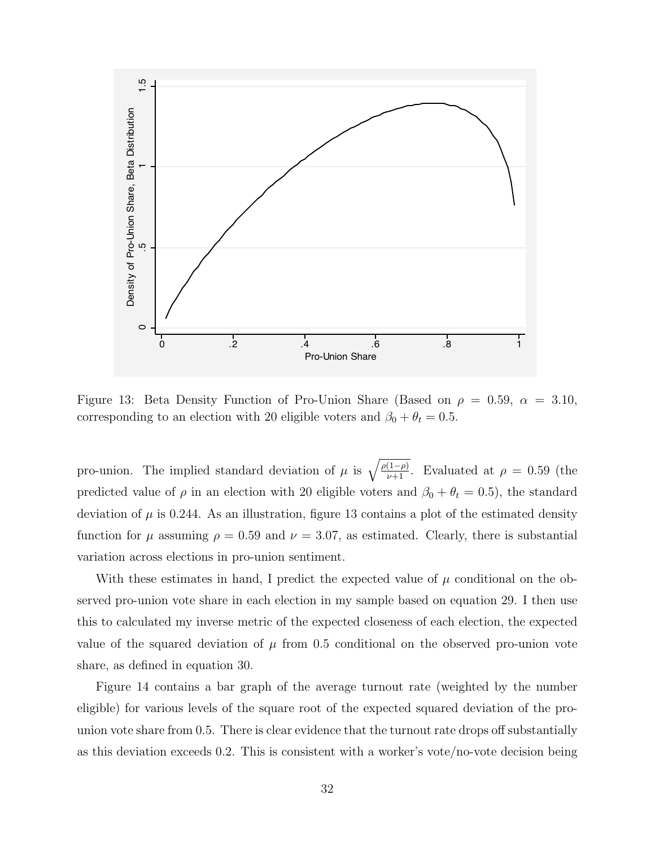

Figure 13: Beta Density Function of Pro-Union Share (Based on  $\rho = 0.59$ ,  $\alpha = 3.10$ , corresponding to an election with 20 eligible voters and  $\beta_0 + \theta_t = 0.5$ .

pro-union. The implied standard deviation of  $\mu$  is  $\sqrt{\frac{\rho(1-\rho)}{\nu+1}}$ . Evaluated at  $\rho = 0.59$  (the predicted value of  $\rho$  in an election with 20 eligible voters and  $\beta_0 + \theta_t = 0.5$ , the standard deviation of  $\mu$  is 0.244. As an illustration, figure 13 contains a plot of the estimated density function for  $\mu$  assuming  $\rho = 0.59$  and  $\nu = 3.07$ , as estimated. Clearly, there is substantial variation across elections in pro-union sentiment.

With these estimates in hand, I predict the expected value of  $\mu$  conditional on the observed pro-union vote share in each election in my sample based on equation 29. I then use this to calculated my inverse metric of the expected closeness of each election, the expected value of the squared deviation of  $\mu$  from 0.5 conditional on the observed pro-union vote share, as defined in equation 30.

Figure 14 contains a bar graph of the average turnout rate (weighted by the number eligible) for various levels of the square root of the expected squared deviation of the prounion vote share from 0.5. There is clear evidence that the turnout rate drops off substantially as this deviation exceeds 0.2. This is consistent with a worker's vote/no-vote decision being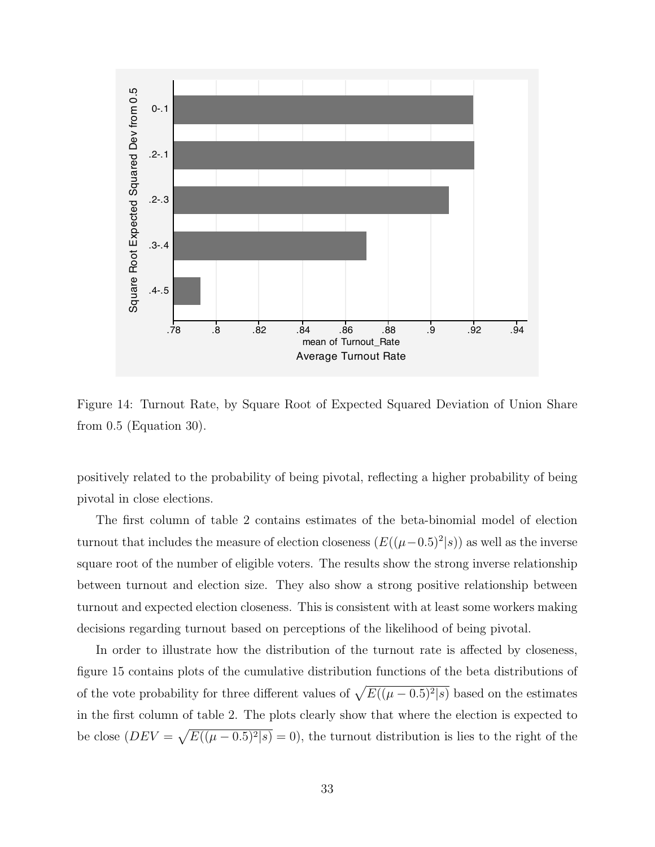

Figure 14: Turnout Rate, by Square Root of Expected Squared Deviation of Union Share from 0.5 (Equation 30).

positively related to the probability of being pivotal, reflecting a higher probability of being pivotal in close elections.

The first column of table 2 contains estimates of the beta-binomial model of election turnout that includes the measure of election closeness  $(E((\mu-0.5)^2|s))$  as well as the inverse square root of the number of eligible voters. The results show the strong inverse relationship between turnout and election size. They also show a strong positive relationship between turnout and expected election closeness. This is consistent with at least some workers making decisions regarding turnout based on perceptions of the likelihood of being pivotal.

In order to illustrate how the distribution of the turnout rate is affected by closeness, figure 15 contains plots of the cumulative distribution functions of the beta distributions of of the vote probability for three different values of  $\sqrt{E((\mu - 0.5)^2/s)}$  based on the estimates in the first column of table 2. The plots clearly show that where the election is expected to be close  $(DEF \times \sqrt{E((\mu - 0.5)^2 | s)} = 0)$ , the turnout distribution is lies to the right of the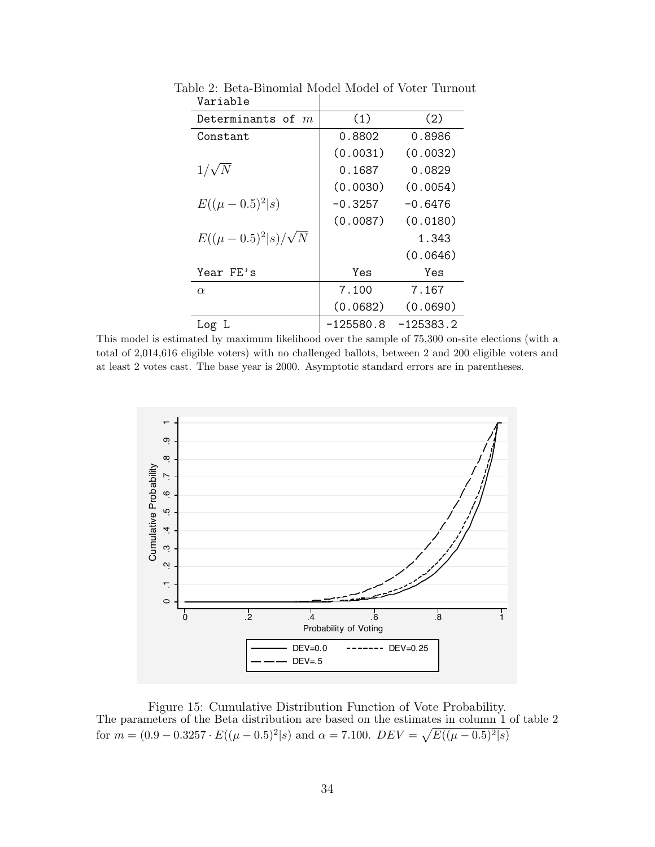| Determinants of $m$             | (1)         | (2)         |
|---------------------------------|-------------|-------------|
| Constant                        | 0.8802      | 0.8986      |
|                                 | (0.0031)    | (0.0032)    |
| $1/\sqrt{N}$                    | 0.1687      | 0.0829      |
|                                 | (0.0030)    | (0.0054)    |
| $E((\mu - 0.5)^2 s)$            | $-0.3257$   | $-0.6476$   |
|                                 | (0.0087)    | (0.0180)    |
| $E((\mu - 0.5)^2   s)/\sqrt{N}$ |             | 1.343       |
|                                 |             | (0.0646)    |
| Year FE's                       | Yes         | Yes         |
| $\alpha$                        | 7.100       | 7.167       |
|                                 | (0.0682)    | (0.0690)    |
| Log L                           | $-125580.8$ | $-125383.2$ |

Table 2: Beta-Binomial Model Model of Voter Turnout Variable

This model is estimated by maximum likelihood over the sample of 75,300 on-site elections (with a total of 2,014,616 eligible voters) with no challenged ballots, between 2 and 200 eligible voters and at least 2 votes cast. The base year is 2000. Asymptotic standard errors are in parentheses.



Figure 15: Cumulative Distribution Function of Vote Probability. The parameters of the Beta distribution are based on the estimates in column 1 of table 2 for  $m = (0.9 - 0.3257 \cdot E((\mu - 0.5)^2 | s)$  and  $\alpha = 7.100$ .  $DEV = \sqrt{E((\mu - 0.5)^2 | s)}$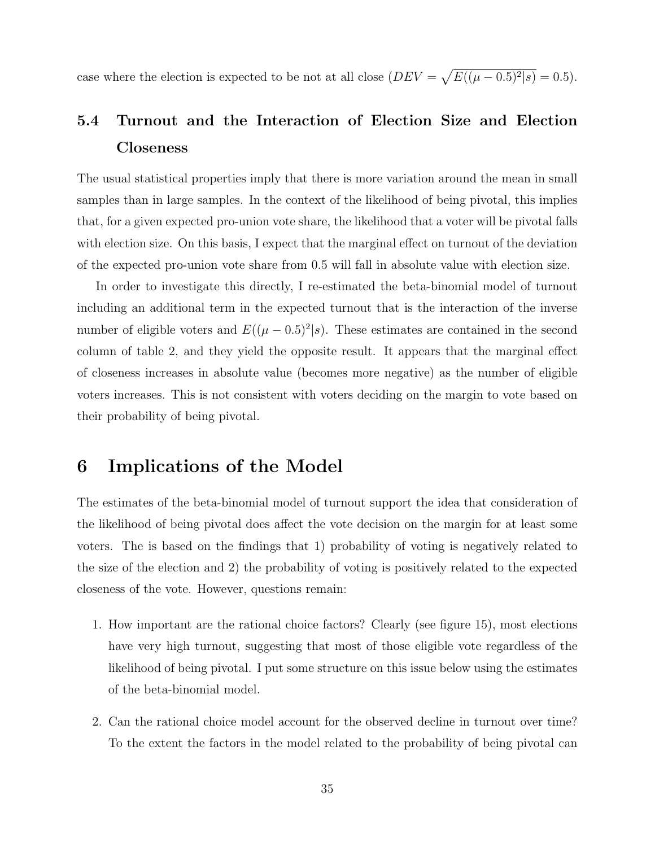case where the election is expected to be not at all close  $(DEV = \sqrt{E((\mu - 0.5)^2 | s)} = 0.5)$ .

# 5.4 Turnout and the Interaction of Election Size and Election Closeness

The usual statistical properties imply that there is more variation around the mean in small samples than in large samples. In the context of the likelihood of being pivotal, this implies that, for a given expected pro-union vote share, the likelihood that a voter will be pivotal falls with election size. On this basis, I expect that the marginal effect on turnout of the deviation of the expected pro-union vote share from 0.5 will fall in absolute value with election size.

In order to investigate this directly, I re-estimated the beta-binomial model of turnout including an additional term in the expected turnout that is the interaction of the inverse number of eligible voters and  $E((\mu - 0.5)^2 | s)$ . These estimates are contained in the second column of table 2, and they yield the opposite result. It appears that the marginal effect of closeness increases in absolute value (becomes more negative) as the number of eligible voters increases. This is not consistent with voters deciding on the margin to vote based on their probability of being pivotal.

# 6 Implications of the Model

The estimates of the beta-binomial model of turnout support the idea that consideration of the likelihood of being pivotal does affect the vote decision on the margin for at least some voters. The is based on the findings that 1) probability of voting is negatively related to the size of the election and 2) the probability of voting is positively related to the expected closeness of the vote. However, questions remain:

- 1. How important are the rational choice factors? Clearly (see figure 15), most elections have very high turnout, suggesting that most of those eligible vote regardless of the likelihood of being pivotal. I put some structure on this issue below using the estimates of the beta-binomial model.
- 2. Can the rational choice model account for the observed decline in turnout over time? To the extent the factors in the model related to the probability of being pivotal can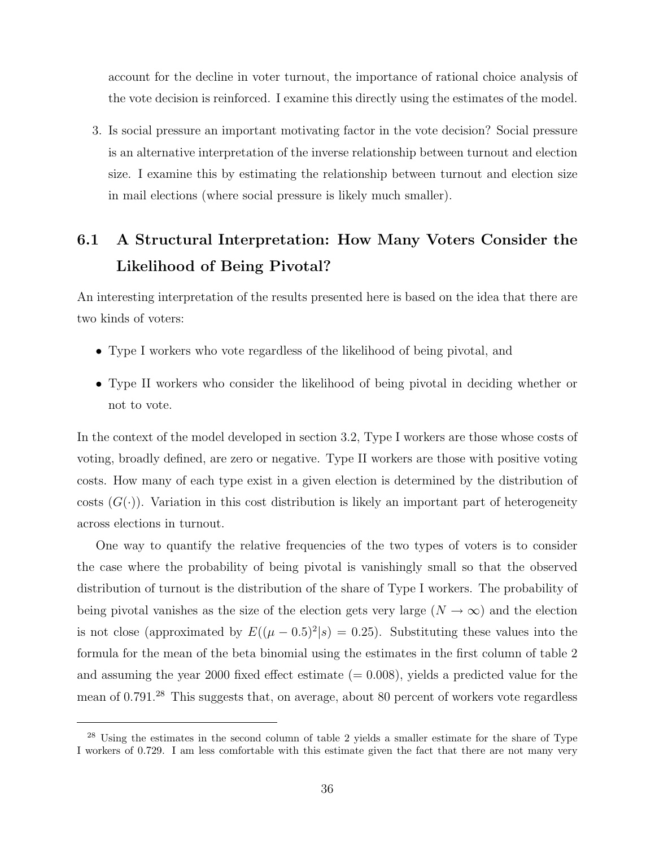account for the decline in voter turnout, the importance of rational choice analysis of the vote decision is reinforced. I examine this directly using the estimates of the model.

3. Is social pressure an important motivating factor in the vote decision? Social pressure is an alternative interpretation of the inverse relationship between turnout and election size. I examine this by estimating the relationship between turnout and election size in mail elections (where social pressure is likely much smaller).

# 6.1 A Structural Interpretation: How Many Voters Consider the Likelihood of Being Pivotal?

An interesting interpretation of the results presented here is based on the idea that there are two kinds of voters:

- Type I workers who vote regardless of the likelihood of being pivotal, and
- Type II workers who consider the likelihood of being pivotal in deciding whether or not to vote.

In the context of the model developed in section 3.2, Type I workers are those whose costs of voting, broadly defined, are zero or negative. Type II workers are those with positive voting costs. How many of each type exist in a given election is determined by the distribution of costs  $(G(\cdot))$ . Variation in this cost distribution is likely an important part of heterogeneity across elections in turnout.

One way to quantify the relative frequencies of the two types of voters is to consider the case where the probability of being pivotal is vanishingly small so that the observed distribution of turnout is the distribution of the share of Type I workers. The probability of being pivotal vanishes as the size of the election gets very large  $(N \to \infty)$  and the election is not close (approximated by  $E((\mu - 0.5)^2 | s) = 0.25)$ . Substituting these values into the formula for the mean of the beta binomial using the estimates in the first column of table 2 and assuming the year 2000 fixed effect estimate  $(= 0.008)$ , yields a predicted value for the mean of 0.791.<sup>28</sup> This suggests that, on average, about 80 percent of workers vote regardless

<sup>&</sup>lt;sup>28</sup> Using the estimates in the second column of table 2 yields a smaller estimate for the share of Type I workers of 0.729. I am less comfortable with this estimate given the fact that there are not many very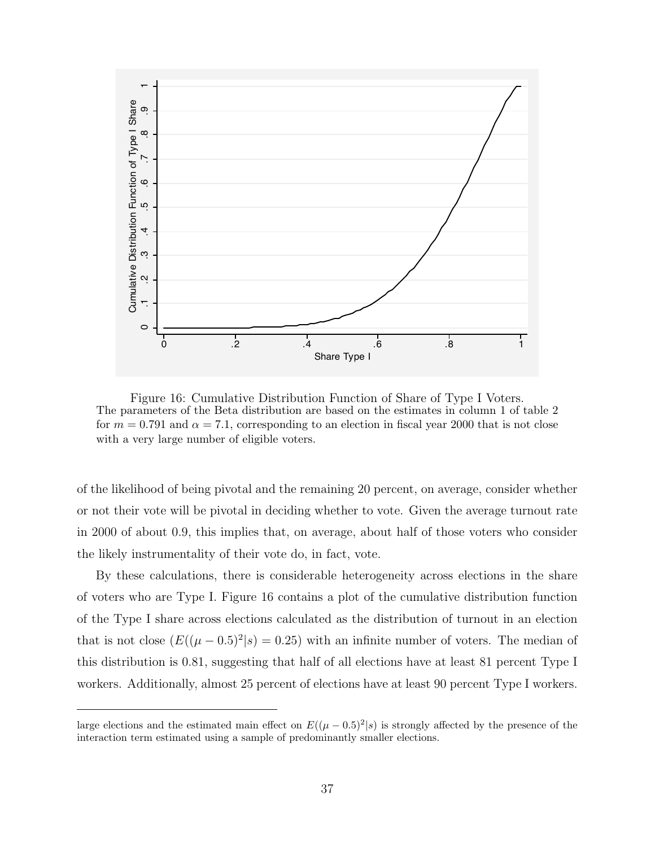

Figure 16: Cumulative Distribution Function of Share of Type I Voters. The parameters of the Beta distribution are based on the estimates in column 1 of table 2 for  $m = 0.791$  and  $\alpha = 7.1$ , corresponding to an election in fiscal year 2000 that is not close with a very large number of eligible voters.

of the likelihood of being pivotal and the remaining 20 percent, on average, consider whether or not their vote will be pivotal in deciding whether to vote. Given the average turnout rate in 2000 of about 0.9, this implies that, on average, about half of those voters who consider the likely instrumentality of their vote do, in fact, vote.

By these calculations, there is considerable heterogeneity across elections in the share of voters who are Type I. Figure 16 contains a plot of the cumulative distribution function of the Type I share across elections calculated as the distribution of turnout in an election that is not close  $(E((\mu - 0.5)^2 | s) = 0.25)$  with an infinite number of voters. The median of this distribution is 0.81, suggesting that half of all elections have at least 81 percent Type I workers. Additionally, almost 25 percent of elections have at least 90 percent Type I workers.

large elections and the estimated main effect on  $E((\mu - 0.5)^2 | s)$  is strongly affected by the presence of the interaction term estimated using a sample of predominantly smaller elections.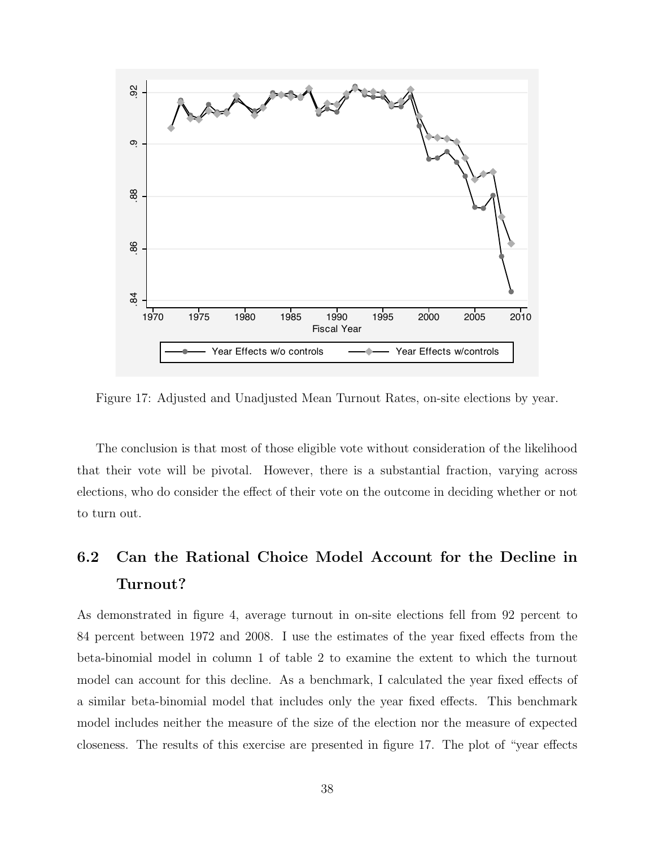

Figure 17: Adjusted and Unadjusted Mean Turnout Rates, on-site elections by year.

The conclusion is that most of those eligible vote without consideration of the likelihood that their vote will be pivotal. However, there is a substantial fraction, varying across elections, who do consider the effect of their vote on the outcome in deciding whether or not to turn out.

# 6.2 Can the Rational Choice Model Account for the Decline in Turnout?

As demonstrated in figure 4, average turnout in on-site elections fell from 92 percent to 84 percent between 1972 and 2008. I use the estimates of the year fixed effects from the beta-binomial model in column 1 of table 2 to examine the extent to which the turnout model can account for this decline. As a benchmark, I calculated the year fixed effects of a similar beta-binomial model that includes only the year fixed effects. This benchmark model includes neither the measure of the size of the election nor the measure of expected closeness. The results of this exercise are presented in figure 17. The plot of "year effects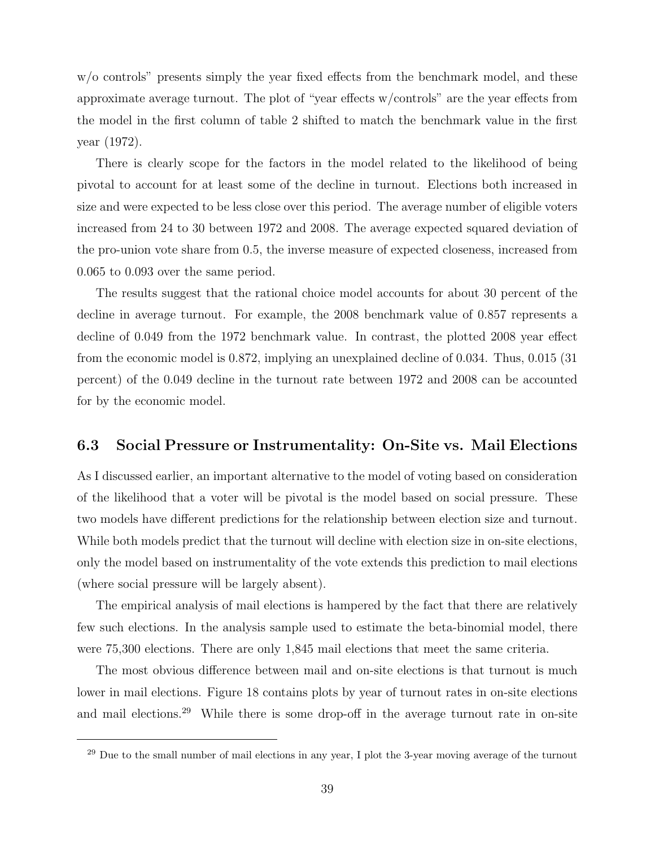w/o controls" presents simply the year fixed effects from the benchmark model, and these approximate average turnout. The plot of "year effects w/controls" are the year effects from the model in the first column of table 2 shifted to match the benchmark value in the first year (1972).

There is clearly scope for the factors in the model related to the likelihood of being pivotal to account for at least some of the decline in turnout. Elections both increased in size and were expected to be less close over this period. The average number of eligible voters increased from 24 to 30 between 1972 and 2008. The average expected squared deviation of the pro-union vote share from 0.5, the inverse measure of expected closeness, increased from 0.065 to 0.093 over the same period.

The results suggest that the rational choice model accounts for about 30 percent of the decline in average turnout. For example, the 2008 benchmark value of 0.857 represents a decline of 0.049 from the 1972 benchmark value. In contrast, the plotted 2008 year effect from the economic model is 0.872, implying an unexplained decline of 0.034. Thus, 0.015 (31 percent) of the 0.049 decline in the turnout rate between 1972 and 2008 can be accounted for by the economic model.

#### 6.3 Social Pressure or Instrumentality: On-Site vs. Mail Elections

As I discussed earlier, an important alternative to the model of voting based on consideration of the likelihood that a voter will be pivotal is the model based on social pressure. These two models have different predictions for the relationship between election size and turnout. While both models predict that the turnout will decline with election size in on-site elections, only the model based on instrumentality of the vote extends this prediction to mail elections (where social pressure will be largely absent).

The empirical analysis of mail elections is hampered by the fact that there are relatively few such elections. In the analysis sample used to estimate the beta-binomial model, there were 75,300 elections. There are only 1,845 mail elections that meet the same criteria.

The most obvious difference between mail and on-site elections is that turnout is much lower in mail elections. Figure 18 contains plots by year of turnout rates in on-site elections and mail elections.<sup>29</sup> While there is some drop-off in the average turnout rate in on-site

<sup>&</sup>lt;sup>29</sup> Due to the small number of mail elections in any year, I plot the 3-year moving average of the turnout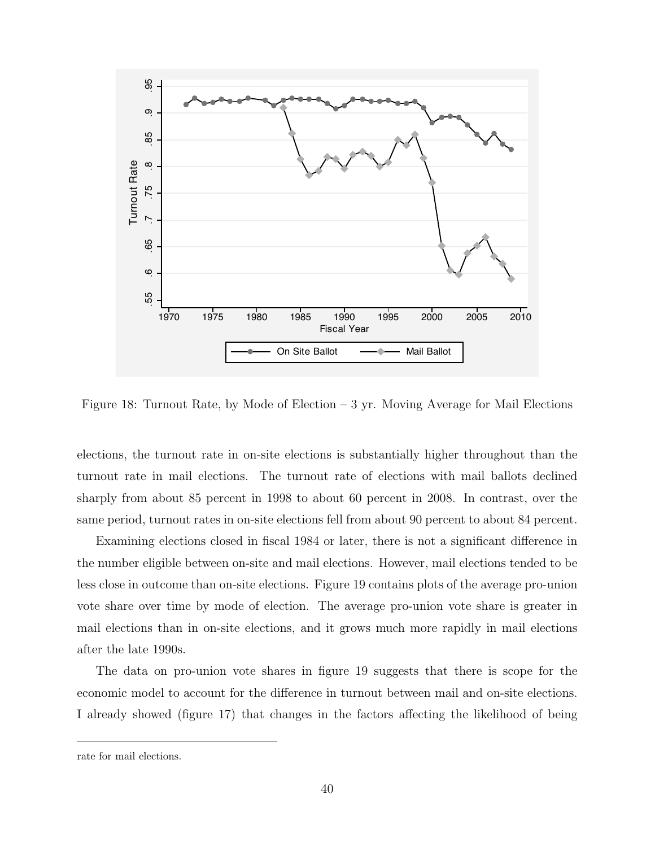

Figure 18: Turnout Rate, by Mode of Election  $-3$  yr. Moving Average for Mail Elections

elections, the turnout rate in on-site elections is substantially higher throughout than the turnout rate in mail elections. The turnout rate of elections with mail ballots declined sharply from about 85 percent in 1998 to about 60 percent in 2008. In contrast, over the same period, turnout rates in on-site elections fell from about 90 percent to about 84 percent.

Examining elections closed in fiscal 1984 or later, there is not a significant difference in the number eligible between on-site and mail elections. However, mail elections tended to be less close in outcome than on-site elections. Figure 19 contains plots of the average pro-union vote share over time by mode of election. The average pro-union vote share is greater in mail elections than in on-site elections, and it grows much more rapidly in mail elections after the late 1990s.

The data on pro-union vote shares in figure 19 suggests that there is scope for the economic model to account for the difference in turnout between mail and on-site elections. I already showed (figure 17) that changes in the factors affecting the likelihood of being

rate for mail elections.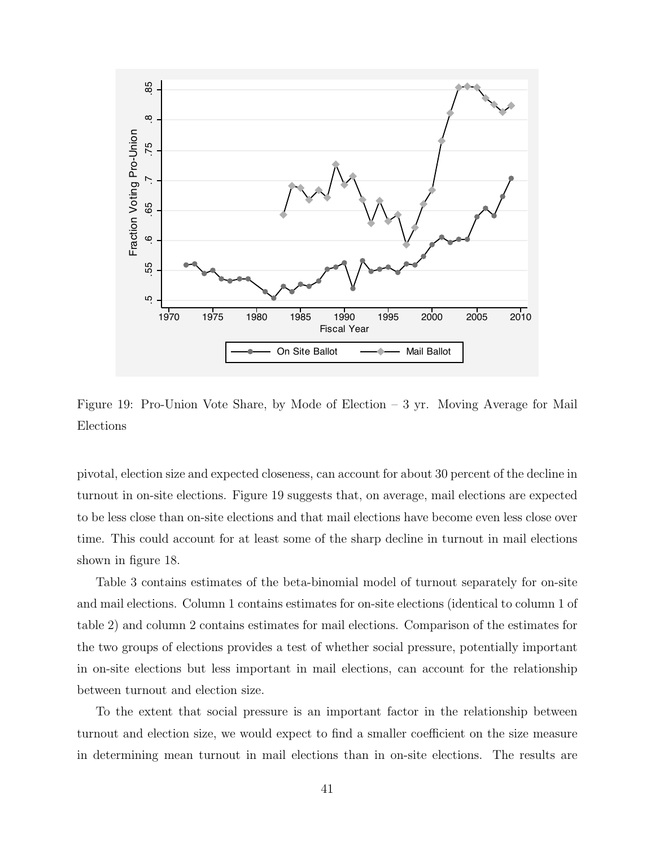

Figure 19: Pro-Union Vote Share, by Mode of Election – 3 yr. Moving Average for Mail Elections

pivotal, election size and expected closeness, can account for about 30 percent of the decline in turnout in on-site elections. Figure 19 suggests that, on average, mail elections are expected to be less close than on-site elections and that mail elections have become even less close over time. This could account for at least some of the sharp decline in turnout in mail elections shown in figure 18.

Table 3 contains estimates of the beta-binomial model of turnout separately for on-site and mail elections. Column 1 contains estimates for on-site elections (identical to column 1 of table 2) and column 2 contains estimates for mail elections. Comparison of the estimates for the two groups of elections provides a test of whether social pressure, potentially important in on-site elections but less important in mail elections, can account for the relationship between turnout and election size.

To the extent that social pressure is an important factor in the relationship between turnout and election size, we would expect to find a smaller coefficient on the size measure in determining mean turnout in mail elections than in on-site elections. The results are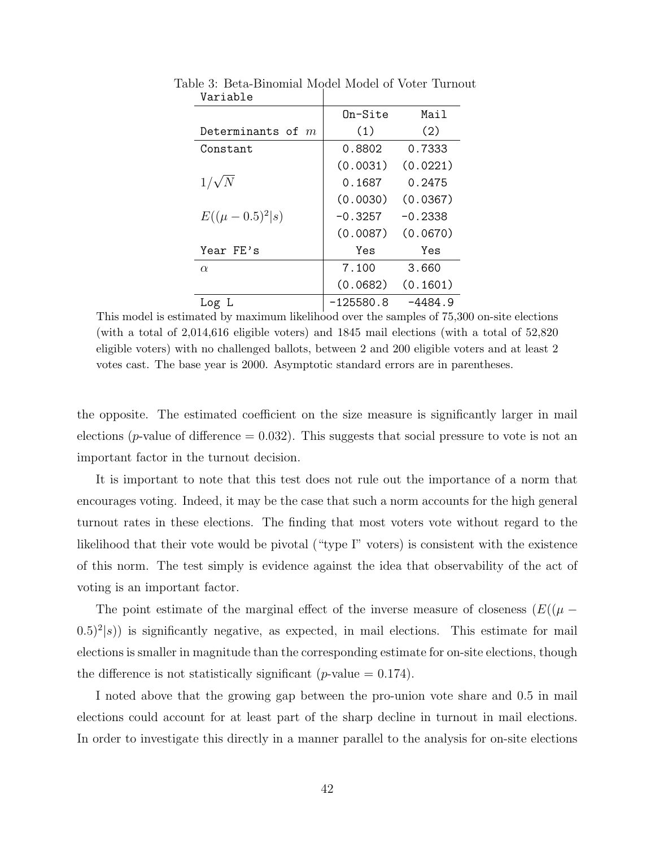|                     | On-Site   | Mail      |
|---------------------|-----------|-----------|
| Determinants of $m$ | (1)       | (2)       |
| Constant            | 0.8802    | 0.7333    |
|                     | (0.0031)  | (0.0221)  |
| $1/\sqrt{N}$        | 0.1687    | 0.2475    |
|                     | (0.0030)  | (0.0367)  |
| $E((\mu-0.5)^2 s)$  | $-0.3257$ | $-0.2338$ |
|                     | (0.0087)  | (0.0670)  |
| Year FE's           | Yes       | Yes       |
| $\alpha$            | 7.100     | 3.660     |
|                     | (0.0682)  | (0.1601)  |
| Log                 | -125580.8 | -4484.9   |

Table 3: Beta-Binomial Model Model of Voter Turnout Variable

This model is estimated by maximum likelihood over the samples of 75,300 on-site elections (with a total of 2,014,616 eligible voters) and 1845 mail elections (with a total of 52,820 eligible voters) with no challenged ballots, between 2 and 200 eligible voters and at least 2 votes cast. The base year is 2000. Asymptotic standard errors are in parentheses.

the opposite. The estimated coefficient on the size measure is significantly larger in mail elections (*p*-value of difference  $= 0.032$ ). This suggests that social pressure to vote is not an important factor in the turnout decision.

It is important to note that this test does not rule out the importance of a norm that encourages voting. Indeed, it may be the case that such a norm accounts for the high general turnout rates in these elections. The finding that most voters vote without regard to the likelihood that their vote would be pivotal ("type I" voters) is consistent with the existence of this norm. The test simply is evidence against the idea that observability of the act of voting is an important factor.

The point estimate of the marginal effect of the inverse measure of closeness ( $E((\mu (0.5)^2|s\rangle$ ) is significantly negative, as expected, in mail elections. This estimate for mail elections is smaller in magnitude than the corresponding estimate for on-site elections, though the difference is not statistically significant (*p*-value  $= 0.174$ ).

I noted above that the growing gap between the pro-union vote share and 0.5 in mail elections could account for at least part of the sharp decline in turnout in mail elections. In order to investigate this directly in a manner parallel to the analysis for on-site elections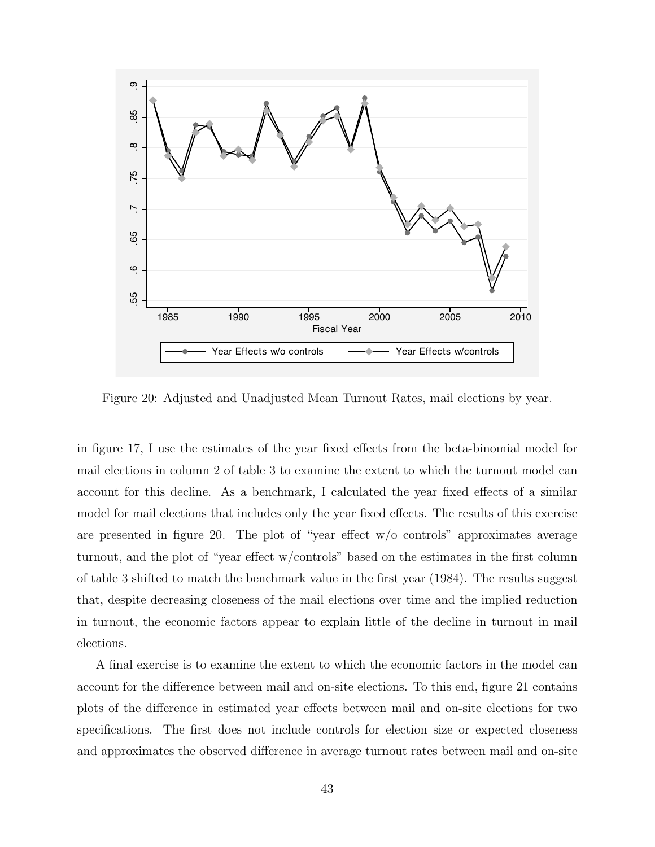

Figure 20: Adjusted and Unadjusted Mean Turnout Rates, mail elections by year.

in figure 17, I use the estimates of the year fixed effects from the beta-binomial model for mail elections in column 2 of table 3 to examine the extent to which the turnout model can account for this decline. As a benchmark, I calculated the year fixed effects of a similar model for mail elections that includes only the year fixed effects. The results of this exercise are presented in figure 20. The plot of "year effect  $w/o$  controls" approximates average turnout, and the plot of "year effect w/controls" based on the estimates in the first column of table 3 shifted to match the benchmark value in the first year (1984). The results suggest that, despite decreasing closeness of the mail elections over time and the implied reduction in turnout, the economic factors appear to explain little of the decline in turnout in mail elections.

A final exercise is to examine the extent to which the economic factors in the model can account for the difference between mail and on-site elections. To this end, figure 21 contains plots of the difference in estimated year effects between mail and on-site elections for two specifications. The first does not include controls for election size or expected closeness and approximates the observed difference in average turnout rates between mail and on-site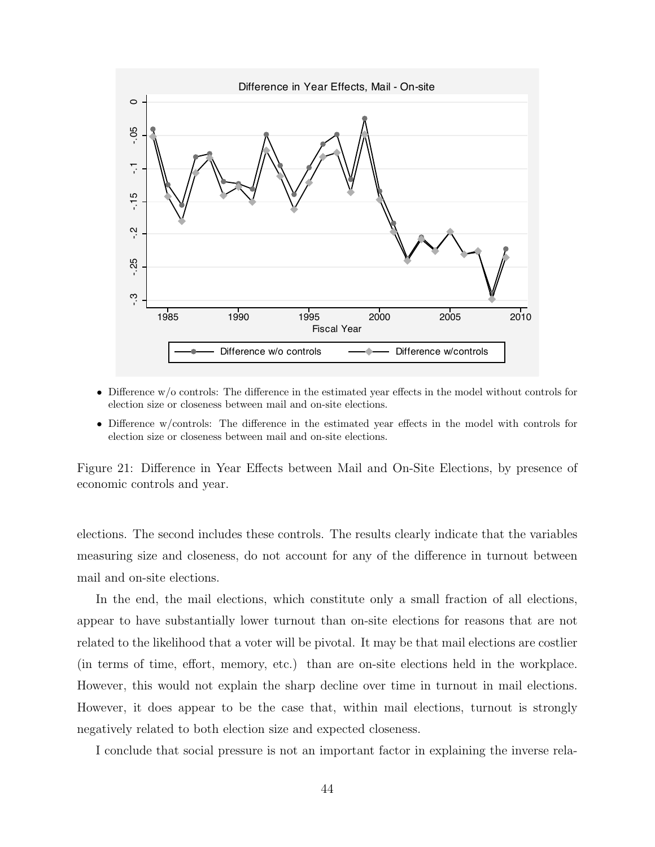

- Difference w/o controls: The difference in the estimated year effects in the model without controls for election size or closeness between mail and on-site elections.
- Difference w/controls: The difference in the estimated year effects in the model with controls for election size or closeness between mail and on-site elections.

Figure 21: Difference in Year Effects between Mail and On-Site Elections, by presence of economic controls and year.

elections. The second includes these controls. The results clearly indicate that the variables measuring size and closeness, do not account for any of the difference in turnout between mail and on-site elections.

In the end, the mail elections, which constitute only a small fraction of all elections, appear to have substantially lower turnout than on-site elections for reasons that are not related to the likelihood that a voter will be pivotal. It may be that mail elections are costlier (in terms of time, effort, memory, etc.) than are on-site elections held in the workplace. However, this would not explain the sharp decline over time in turnout in mail elections. However, it does appear to be the case that, within mail elections, turnout is strongly negatively related to both election size and expected closeness.

I conclude that social pressure is not an important factor in explaining the inverse rela-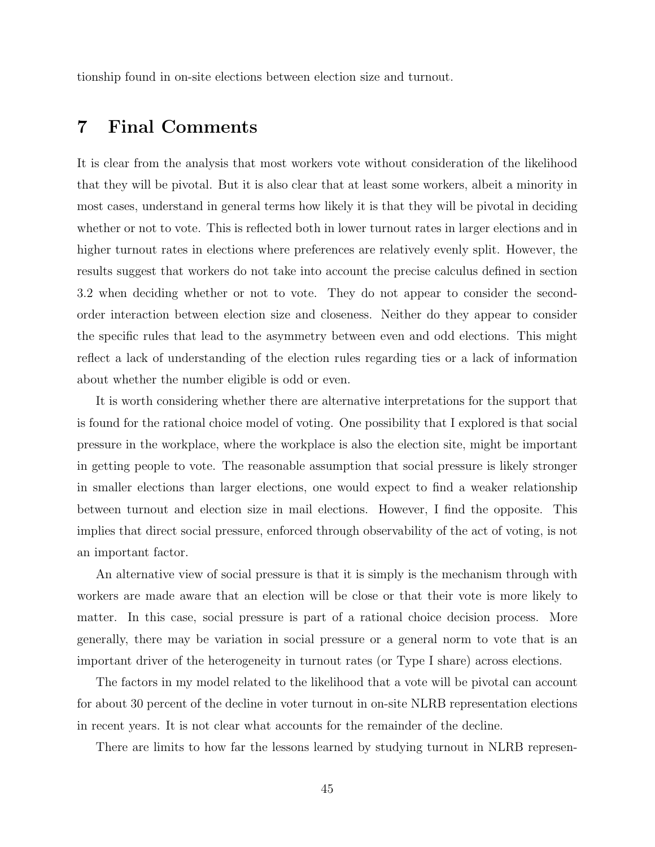tionship found in on-site elections between election size and turnout.

# 7 Final Comments

It is clear from the analysis that most workers vote without consideration of the likelihood that they will be pivotal. But it is also clear that at least some workers, albeit a minority in most cases, understand in general terms how likely it is that they will be pivotal in deciding whether or not to vote. This is reflected both in lower turnout rates in larger elections and in higher turnout rates in elections where preferences are relatively evenly split. However, the results suggest that workers do not take into account the precise calculus defined in section 3.2 when deciding whether or not to vote. They do not appear to consider the secondorder interaction between election size and closeness. Neither do they appear to consider the specific rules that lead to the asymmetry between even and odd elections. This might reflect a lack of understanding of the election rules regarding ties or a lack of information about whether the number eligible is odd or even.

It is worth considering whether there are alternative interpretations for the support that is found for the rational choice model of voting. One possibility that I explored is that social pressure in the workplace, where the workplace is also the election site, might be important in getting people to vote. The reasonable assumption that social pressure is likely stronger in smaller elections than larger elections, one would expect to find a weaker relationship between turnout and election size in mail elections. However, I find the opposite. This implies that direct social pressure, enforced through observability of the act of voting, is not an important factor.

An alternative view of social pressure is that it is simply is the mechanism through with workers are made aware that an election will be close or that their vote is more likely to matter. In this case, social pressure is part of a rational choice decision process. More generally, there may be variation in social pressure or a general norm to vote that is an important driver of the heterogeneity in turnout rates (or Type I share) across elections.

The factors in my model related to the likelihood that a vote will be pivotal can account for about 30 percent of the decline in voter turnout in on-site NLRB representation elections in recent years. It is not clear what accounts for the remainder of the decline.

There are limits to how far the lessons learned by studying turnout in NLRB represen-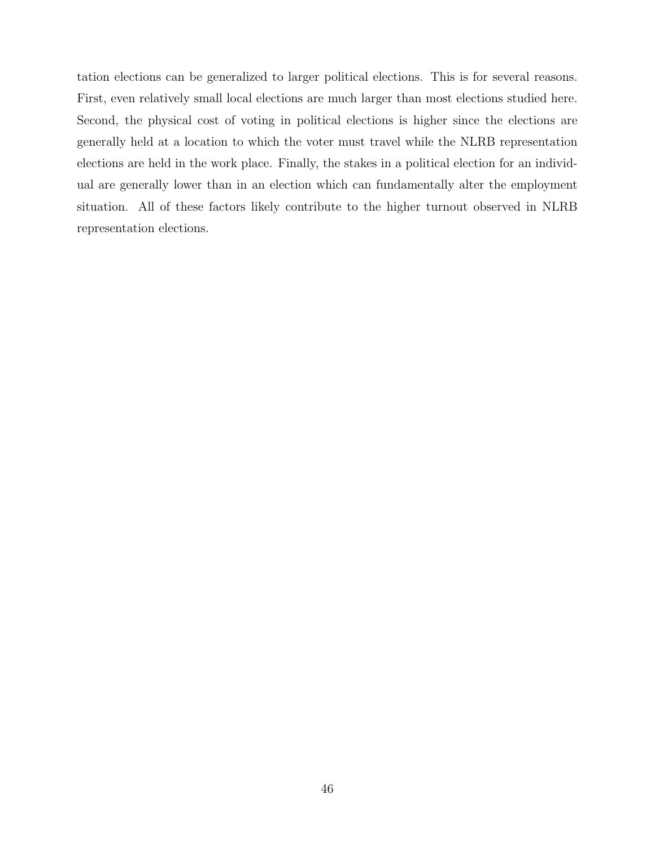tation elections can be generalized to larger political elections. This is for several reasons. First, even relatively small local elections are much larger than most elections studied here. Second, the physical cost of voting in political elections is higher since the elections are generally held at a location to which the voter must travel while the NLRB representation elections are held in the work place. Finally, the stakes in a political election for an individual are generally lower than in an election which can fundamentally alter the employment situation. All of these factors likely contribute to the higher turnout observed in NLRB representation elections.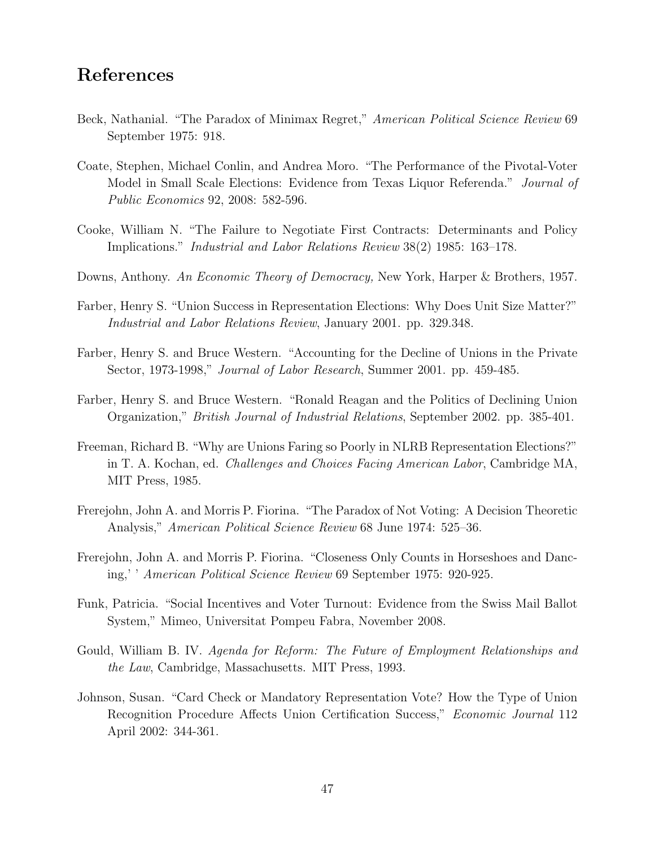# References

- Beck, Nathanial. "The Paradox of Minimax Regret," American Political Science Review 69 September 1975: 918.
- Coate, Stephen, Michael Conlin, and Andrea Moro. "The Performance of the Pivotal-Voter Model in Small Scale Elections: Evidence from Texas Liquor Referenda." Journal of Public Economics 92, 2008: 582-596.
- Cooke, William N. "The Failure to Negotiate First Contracts: Determinants and Policy Implications." Industrial and Labor Relations Review 38(2) 1985: 163–178.
- Downs, Anthony. An Economic Theory of Democracy, New York, Harper & Brothers, 1957.
- Farber, Henry S. "Union Success in Representation Elections: Why Does Unit Size Matter?" Industrial and Labor Relations Review, January 2001. pp. 329.348.
- Farber, Henry S. and Bruce Western. "Accounting for the Decline of Unions in the Private Sector, 1973-1998," Journal of Labor Research, Summer 2001. pp. 459-485.
- Farber, Henry S. and Bruce Western. "Ronald Reagan and the Politics of Declining Union Organization," British Journal of Industrial Relations, September 2002. pp. 385-401.
- Freeman, Richard B. "Why are Unions Faring so Poorly in NLRB Representation Elections?" in T. A. Kochan, ed. Challenges and Choices Facing American Labor, Cambridge MA, MIT Press, 1985.
- Frerejohn, John A. and Morris P. Fiorina. "The Paradox of Not Voting: A Decision Theoretic Analysis," American Political Science Review 68 June 1974: 525–36.
- Frerejohn, John A. and Morris P. Fiorina. "Closeness Only Counts in Horseshoes and Dancing,' ' American Political Science Review 69 September 1975: 920-925.
- Funk, Patricia. "Social Incentives and Voter Turnout: Evidence from the Swiss Mail Ballot System," Mimeo, Universitat Pompeu Fabra, November 2008.
- Gould, William B. IV. Agenda for Reform: The Future of Employment Relationships and the Law, Cambridge, Massachusetts. MIT Press, 1993.
- Johnson, Susan. "Card Check or Mandatory Representation Vote? How the Type of Union Recognition Procedure Affects Union Certification Success," Economic Journal 112 April 2002: 344-361.